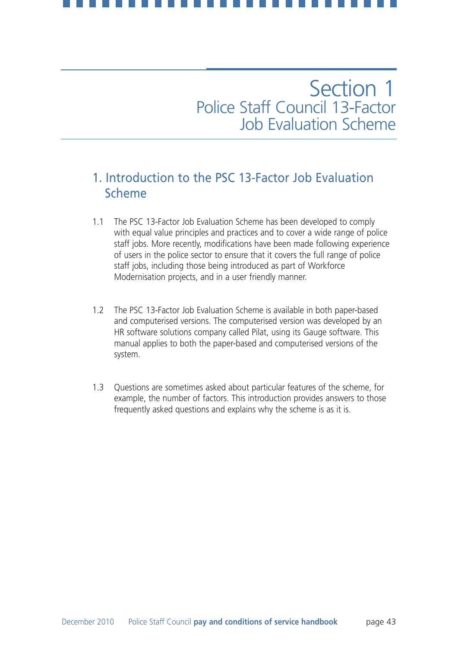## 1. Introduction to the PSC 13-Factor Job Evaluation Scheme

- 1.1 The PSC 13-Factor Job Evaluation Scheme has been developed to comply with equal value principles and practices and to cover a wide range of police staff jobs. More recently, modifications have been made following experience of users in the police sector to ensure that it covers the full range of police staff jobs, including those being introduced as part of Workforce Modernisation projects, and in a user friendly manner.
- 1.2 The PSC 13-Factor Job Evaluation Scheme is available in both paper-based and computerised versions. The computerised version was developed by an HR software solutions company called Pilat, using its Gauge software. This manual applies to both the paper-based and computerised versions of the system.
- 1.3 Questions are sometimes asked about particular features of the scheme, for example, the number of factors. This introduction provides answers to those frequently asked questions and explains why the scheme is as it is.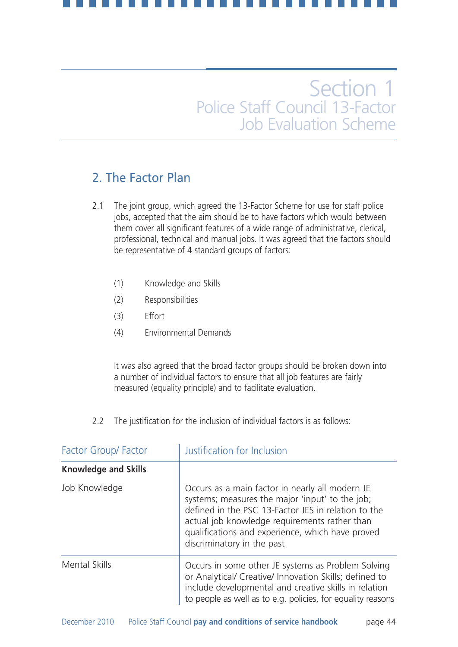## 2. The Factor Plan

- 2.1 The joint group, which agreed the 13-Factor Scheme for use for staff police jobs, accepted that the aim should be to have factors which would between them cover all significant features of a wide range of administrative, clerical, professional, technical and manual jobs. It was agreed that the factors should be representative of 4 standard groups of factors:
	- (1) Knowledge and Skills
	- (2) Responsibilities
	- (3) Effort
	- (4) Environmental Demands

It was also agreed that the broad factor groups should be broken down into a number of individual factors to ensure that all job features are fairly measured (equality principle) and to facilitate evaluation.

2.2 The justification for the inclusion of individual factors is as follows:

| Factor Group/ Factor        | Justification for Inclusion                                                                                                                                                                                                                                                                  |  |  |  |  |  |
|-----------------------------|----------------------------------------------------------------------------------------------------------------------------------------------------------------------------------------------------------------------------------------------------------------------------------------------|--|--|--|--|--|
| <b>Knowledge and Skills</b> |                                                                                                                                                                                                                                                                                              |  |  |  |  |  |
| Job Knowledge               | Occurs as a main factor in nearly all modern JE<br>systems; measures the major 'input' to the job;<br>defined in the PSC 13-Factor JES in relation to the<br>actual job knowledge requirements rather than<br>qualifications and experience, which have proved<br>discriminatory in the past |  |  |  |  |  |
| <b>Mental Skills</b>        | Occurs in some other JE systems as Problem Solving<br>or Analytical/ Creative/ Innovation Skills; defined to<br>include developmental and creative skills in relation<br>to people as well as to e.g. policies, for equality reasons                                                         |  |  |  |  |  |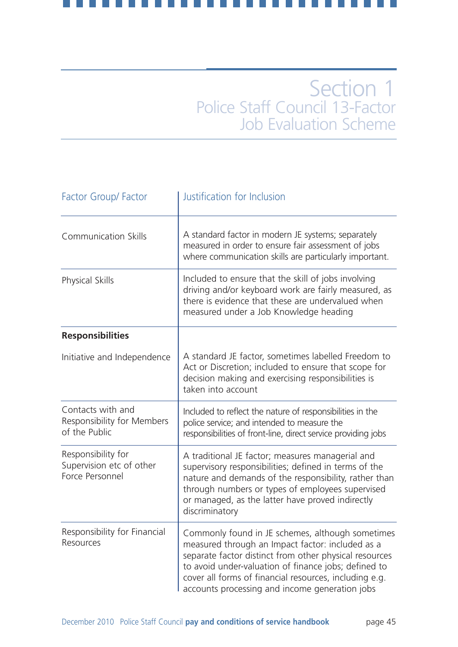| <b>Factor Group/ Factor</b>                                       | Justification for Inclusion                                                                                                                                                                                                                                                                                                        |
|-------------------------------------------------------------------|------------------------------------------------------------------------------------------------------------------------------------------------------------------------------------------------------------------------------------------------------------------------------------------------------------------------------------|
| <b>Communication Skills</b>                                       | A standard factor in modern JE systems; separately<br>measured in order to ensure fair assessment of jobs<br>where communication skills are particularly important.                                                                                                                                                                |
| <b>Physical Skills</b>                                            | Included to ensure that the skill of jobs involving<br>driving and/or keyboard work are fairly measured, as<br>there is evidence that these are undervalued when<br>measured under a Job Knowledge heading                                                                                                                         |
| <b>Responsibilities</b>                                           |                                                                                                                                                                                                                                                                                                                                    |
| Initiative and Independence                                       | A standard JE factor, sometimes labelled Freedom to<br>Act or Discretion; included to ensure that scope for<br>decision making and exercising responsibilities is<br>taken into account                                                                                                                                            |
| Contacts with and<br>Responsibility for Members<br>of the Public  | Included to reflect the nature of responsibilities in the<br>police service; and intended to measure the<br>responsibilities of front-line, direct service providing jobs                                                                                                                                                          |
| Responsibility for<br>Supervision etc of other<br>Force Personnel | A traditional JE factor; measures managerial and<br>supervisory responsibilities; defined in terms of the<br>nature and demands of the responsibility, rather than<br>through numbers or types of employees supervised<br>or managed, as the latter have proved indirectly<br>discriminatory                                       |
| Responsibility for Financial<br>Resources                         | Commonly found in JE schemes, although sometimes<br>measured through an Impact factor: included as a<br>separate factor distinct from other physical resources<br>to avoid under-valuation of finance jobs; defined to<br>cover all forms of financial resources, including e.g.<br>accounts processing and income generation jobs |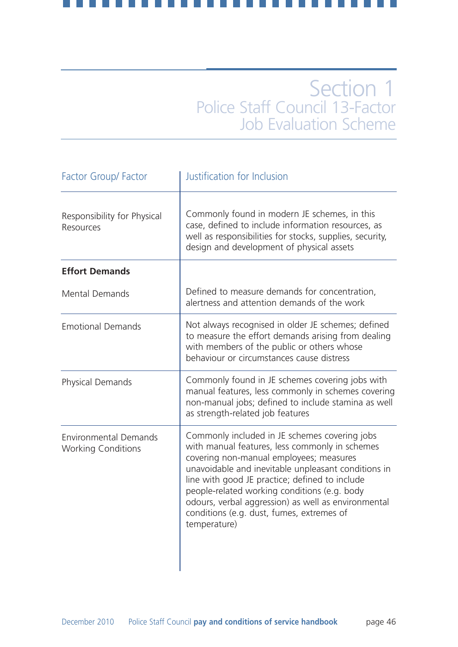| <b>Factor Group/ Factor</b>                               | Justification for Inclusion                                                                                                                                                                                                                                                                                                                                                                                             |
|-----------------------------------------------------------|-------------------------------------------------------------------------------------------------------------------------------------------------------------------------------------------------------------------------------------------------------------------------------------------------------------------------------------------------------------------------------------------------------------------------|
| Responsibility for Physical<br>Resources                  | Commonly found in modern JE schemes, in this<br>case, defined to include information resources, as<br>well as responsibilities for stocks, supplies, security,<br>design and development of physical assets                                                                                                                                                                                                             |
| <b>Effort Demands</b>                                     |                                                                                                                                                                                                                                                                                                                                                                                                                         |
| <b>Mental Demands</b>                                     | Defined to measure demands for concentration,<br>alertness and attention demands of the work                                                                                                                                                                                                                                                                                                                            |
| <b>Emotional Demands</b>                                  | Not always recognised in older JE schemes; defined<br>to measure the effort demands arising from dealing<br>with members of the public or others whose<br>behaviour or circumstances cause distress                                                                                                                                                                                                                     |
| Physical Demands                                          | Commonly found in JE schemes covering jobs with<br>manual features, less commonly in schemes covering<br>non-manual jobs; defined to include stamina as well<br>as strength-related job features                                                                                                                                                                                                                        |
| <b>Environmental Demands</b><br><b>Working Conditions</b> | Commonly included in JE schemes covering jobs<br>with manual features, less commonly in schemes<br>covering non-manual employees; measures<br>unavoidable and inevitable unpleasant conditions in<br>line with good JE practice; defined to include<br>people-related working conditions (e.g. body<br>odours, verbal aggression) as well as environmental<br>conditions (e.g. dust, fumes, extremes of<br>temperature) |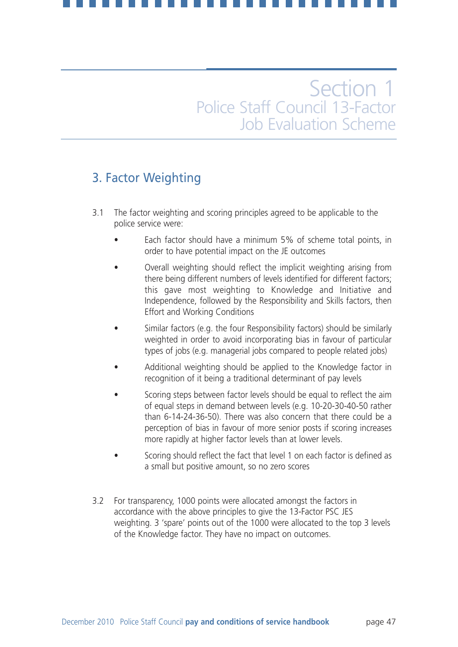## 3. Factor Weighting

- 3.1 The factor weighting and scoring principles agreed to be applicable to the police service were:
	- Each factor should have a minimum 5% of scheme total points, in order to have potential impact on the JE outcomes
	- Overall weighting should reflect the implicit weighting arising from there being different numbers of levels identified for different factors; this gave most weighting to Knowledge and Initiative and Independence, followed by the Responsibility and Skills factors, then Effort and Working Conditions
	- Similar factors (e.g. the four Responsibility factors) should be similarly weighted in order to avoid incorporating bias in favour of particular types of jobs (e.g. managerial jobs compared to people related jobs)
	- Additional weighting should be applied to the Knowledge factor in recognition of it being a traditional determinant of pay levels
	- Scoring steps between factor levels should be equal to reflect the aim of equal steps in demand between levels (e.g. 10-20-30-40-50 rather than 6-14-24-36-50). There was also concern that there could be a perception of bias in favour of more senior posts if scoring increases more rapidly at higher factor levels than at lower levels.
	- Scoring should reflect the fact that level 1 on each factor is defined as a small but positive amount, so no zero scores
- 3.2 For transparency, 1000 points were allocated amongst the factors in accordance with the above principles to give the 13-Factor PSC JES weighting. 3 'spare' points out of the 1000 were allocated to the top 3 levels of the Knowledge factor. They have no impact on outcomes.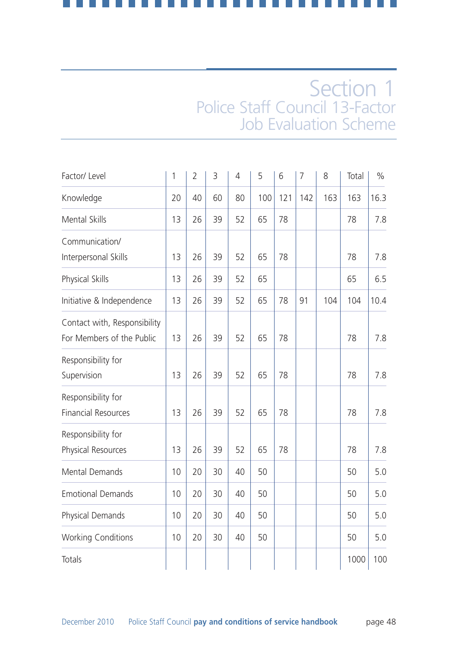| Factor/ Level                                             | 1  | $\overline{2}$ | 3  | $\overline{4}$ | 5   | 6   | 7   | 8   | Total | $\%$ |
|-----------------------------------------------------------|----|----------------|----|----------------|-----|-----|-----|-----|-------|------|
| Knowledge                                                 | 20 | 40             | 60 | 80             | 100 | 121 | 142 | 163 | 163   | 16.3 |
| Mental Skills                                             | 13 | 26             | 39 | 52             | 65  | 78  |     |     | 78    | 7.8  |
| Communication/<br>Interpersonal Skills                    | 13 | 26             | 39 | 52             | 65  | 78  |     |     | 78    | 7.8  |
| Physical Skills                                           | 13 | 26             | 39 | 52             | 65  |     |     |     | 65    | 6.5  |
| Initiative & Independence                                 | 13 | 26             | 39 | 52             | 65  | 78  | 91  | 104 | 104   | 10.4 |
| Contact with, Responsibility<br>For Members of the Public | 13 | 26             | 39 | 52             | 65  | 78  |     |     | 78    | 7.8  |
| Responsibility for<br>Supervision                         | 13 | 26             | 39 | 52             | 65  | 78  |     |     | 78    | 7.8  |
| Responsibility for<br><b>Financial Resources</b>          | 13 | 26             | 39 | 52             | 65  | 78  |     |     | 78    | 7.8  |
| Responsibility for<br>Physical Resources                  | 13 | 26             | 39 | 52             | 65  | 78  |     |     | 78    | 7.8  |
| <b>Mental Demands</b>                                     | 10 | 20             | 30 | 40             | 50  |     |     |     | 50    | 5.0  |
| <b>Emotional Demands</b>                                  | 10 | 20             | 30 | 40             | 50  |     |     |     | 50    | 5.0  |
| Physical Demands                                          | 10 | 20             | 30 | 40             | 50  |     |     |     | 50    | 5.0  |
| <b>Working Conditions</b>                                 | 10 | 20             | 30 | 40             | 50  |     |     |     | 50    | 5.0  |
| Totals                                                    |    |                |    |                |     |     |     |     | 1000  | 100  |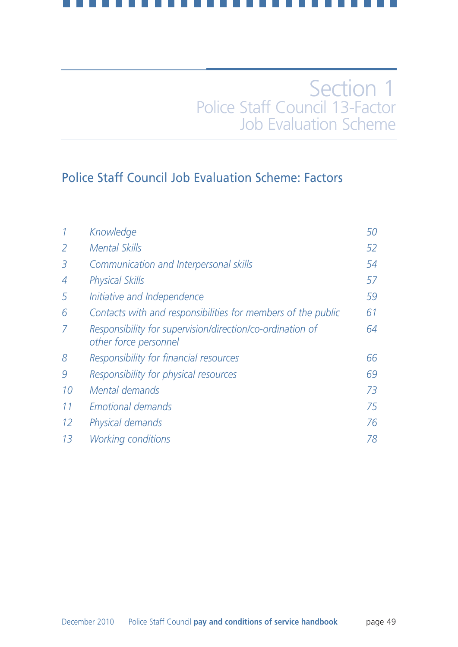## Police Staff Council Job Evaluation Scheme: Factors

|    | Knowledge                                                                          | 50 |
|----|------------------------------------------------------------------------------------|----|
| 2  | <b>Mental Skills</b>                                                               | 52 |
| 3  | Communication and Interpersonal skills                                             | 54 |
| 4  | <b>Physical Skills</b>                                                             | 57 |
| 5  | Initiative and Independence                                                        | 59 |
| 6  | Contacts with and responsibilities for members of the public                       | 61 |
| 7  | Responsibility for supervision/direction/co-ordination of<br>other force personnel | 64 |
| 8  | Responsibility for financial resources                                             | 66 |
| 9  | Responsibility for physical resources                                              | 69 |
| 10 | Mental demands                                                                     | 73 |
| 11 | <b>Emotional demands</b>                                                           | 75 |
| 12 | Physical demands                                                                   | 76 |
| 13 | <i>Working conditions</i>                                                          | 78 |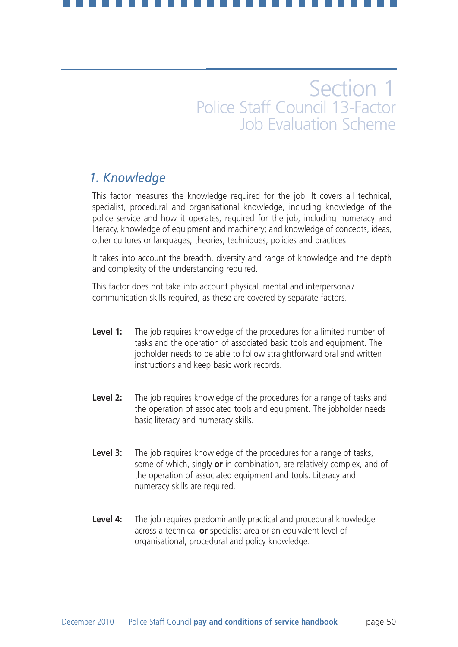## *1. Knowledge*

This factor measures the knowledge required for the job. It covers all technical, specialist, procedural and organisational knowledge, including knowledge of the police service and how it operates, required for the job, including numeracy and literacy, knowledge of equipment and machinery; and knowledge of concepts, ideas, other cultures or languages, theories, techniques, policies and practices.

It takes into account the breadth, diversity and range of knowledge and the depth and complexity of the understanding required.

This factor does not take into account physical, mental and interpersonal/ communication skills required, as these are covered by separate factors.

- **Level 1:** The job requires knowledge of the procedures for a limited number of tasks and the operation of associated basic tools and equipment. The jobholder needs to be able to follow straightforward oral and written instructions and keep basic work records.
- **Level 2:** The job requires knowledge of the procedures for a range of tasks and the operation of associated tools and equipment. The jobholder needs basic literacy and numeracy skills.
- **Level 3:** The job requires knowledge of the procedures for a range of tasks, some of which, singly **or** in combination, are relatively complex, and of the operation of associated equipment and tools. Literacy and numeracy skills are required.
- **Level 4:** The job requires predominantly practical and procedural knowledge across a technical **or** specialist area or an equivalent level of organisational, procedural and policy knowledge.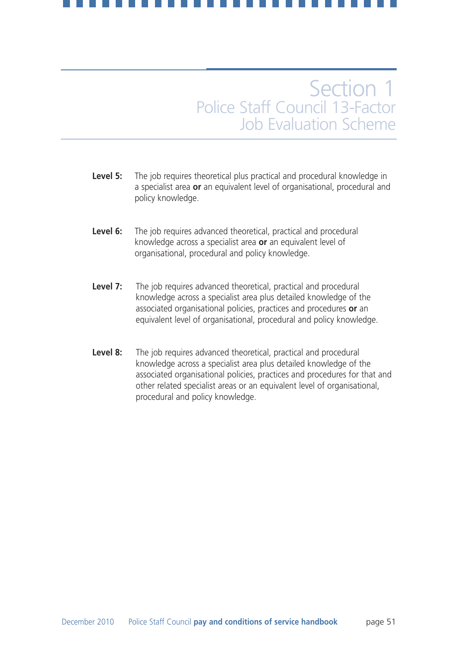- **Level 5:** The job requires theoretical plus practical and procedural knowledge in a specialist area **or** an equivalent level of organisational, procedural and policy knowledge.
- Level 6: The job requires advanced theoretical, practical and procedural knowledge across a specialist area **or** an equivalent level of organisational, procedural and policy knowledge.
- **Level 7:** The job requires advanced theoretical, practical and procedural knowledge across a specialist area plus detailed knowledge of the associated organisational policies, practices and procedures **or** an equivalent level of organisational, procedural and policy knowledge.
- **Level 8:** The job requires advanced theoretical, practical and procedural knowledge across a specialist area plus detailed knowledge of the associated organisational policies, practices and procedures for that and other related specialist areas or an equivalent level of organisational, procedural and policy knowledge.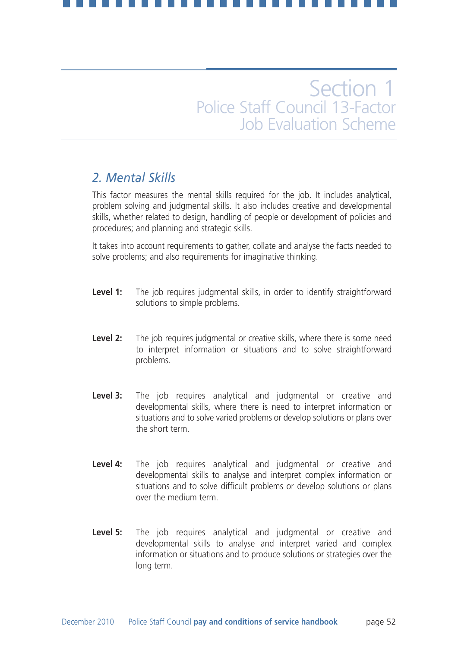## *2. Mental Skills*

This factor measures the mental skills required for the job. It includes analytical, problem solving and judgmental skills. It also includes creative and developmental skills, whether related to design, handling of people or development of policies and procedures; and planning and strategic skills.

It takes into account requirements to gather, collate and analyse the facts needed to solve problems; and also requirements for imaginative thinking.

- Level 1: The job requires judgmental skills, in order to identify straightforward solutions to simple problems.
- **Level 2:** The job requires judgmental or creative skills, where there is some need to interpret information or situations and to solve straightforward problems.
- Level 3: The job requires analytical and judgmental or creative and developmental skills, where there is need to interpret information or situations and to solve varied problems or develop solutions or plans over the short term.
- **Level 4:** The job requires analytical and judgmental or creative and developmental skills to analyse and interpret complex information or situations and to solve difficult problems or develop solutions or plans over the medium term.
- **Level 5:** The job requires analytical and judgmental or creative and developmental skills to analyse and interpret varied and complex information or situations and to produce solutions or strategies over the long term.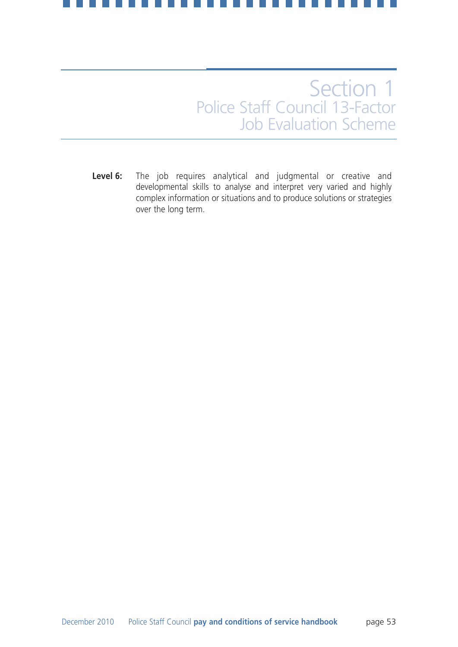**Level 6:** The job requires analytical and judgmental or creative and developmental skills to analyse and interpret very varied and highly complex information or situations and to produce solutions or strategies over the long term.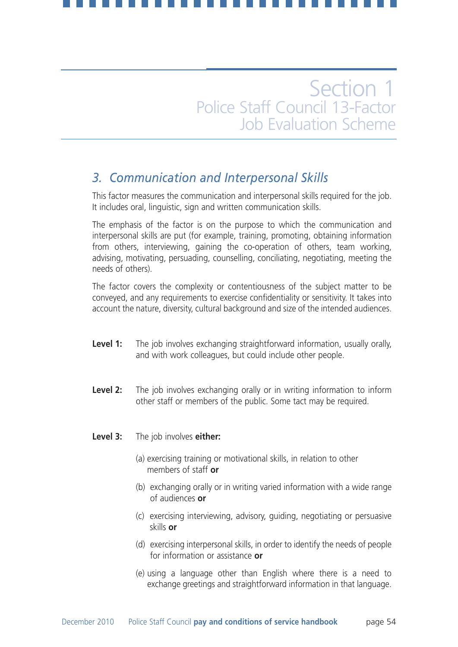## *3. Communication and Interpersonal Skills*

This factor measures the communication and interpersonal skills required for the job. It includes oral, linguistic, sign and written communication skills.

The emphasis of the factor is on the purpose to which the communication and interpersonal skills are put (for example, training, promoting, obtaining information from others, interviewing, gaining the co-operation of others, team working, advising, motivating, persuading, counselling, conciliating, negotiating, meeting the needs of others).

The factor covers the complexity or contentiousness of the subject matter to be conveyed, and any requirements to exercise confidentiality or sensitivity. It takes into account the nature, diversity, cultural background and size of the intended audiences.

- **Level 1:** The job involves exchanging straightforward information, usually orally, and with work colleagues, but could include other people.
- **Level 2:** The job involves exchanging orally or in writing information to inform other staff or members of the public. Some tact may be required.
- **Level 3:** The job involves **either:**
	- (a) exercising training or motivational skills, in relation to other members of staff **or**
	- (b) exchanging orally or in writing varied information with a wide range of audiences **or**
	- (c) exercising interviewing, advisory, guiding, negotiating or persuasive skills **or**
	- (d) exercising interpersonal skills, in order to identify the needs of people for information or assistance **or**
	- (e) using a language other than English where there is a need to exchange greetings and straightforward information in that language.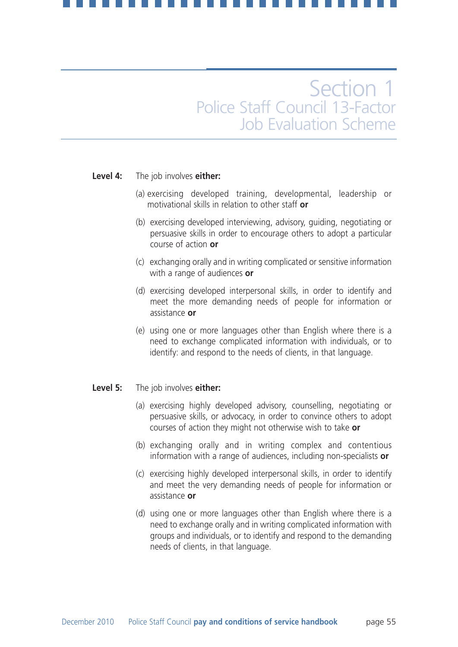### **Level 4:** The job involves **either:**

- (a) exercising developed training, developmental, leadership or motivational skills in relation to other staff **or**
- (b) exercising developed interviewing, advisory, guiding, negotiating or persuasive skills in order to encourage others to adopt a particular course of action **or**
- (c) exchanging orally and in writing complicated or sensitive information with a range of audiences **or**
- (d) exercising developed interpersonal skills, in order to identify and meet the more demanding needs of people for information or assistance **or**
- (e) using one or more languages other than English where there is a need to exchange complicated information with individuals, or to identify: and respond to the needs of clients, in that language.

### **Level 5:** The job involves **either:**

- (a) exercising highly developed advisory, counselling, negotiating or persuasive skills, or advocacy, in order to convince others to adopt courses of action they might not otherwise wish to take **or**
- (b) exchanging orally and in writing complex and contentious information with a range of audiences, including non-specialists **or**
- (c) exercising highly developed interpersonal skills, in order to identify and meet the very demanding needs of people for information or assistance **or**
- (d) using one or more languages other than English where there is a need to exchange orally and in writing complicated information with groups and individuals, or to identify and respond to the demanding needs of clients, in that language.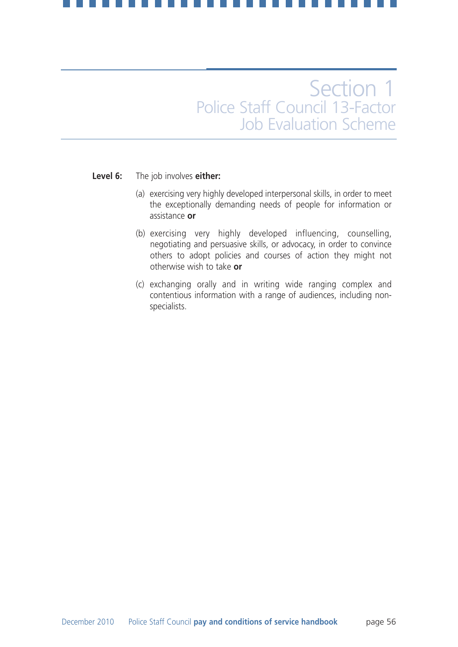### **Level 6:** The job involves **either:**

- (a) exercising very highly developed interpersonal skills, in order to meet the exceptionally demanding needs of people for information or assistance **or**
- (b) exercising very highly developed influencing, counselling, negotiating and persuasive skills, or advocacy, in order to convince others to adopt policies and courses of action they might not otherwise wish to take **or**
- (c) exchanging orally and in writing wide ranging complex and contentious information with a range of audiences, including nonspecialists.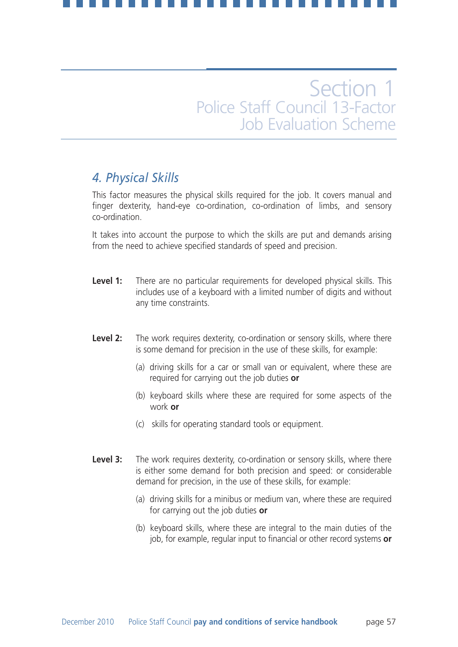## *4. Physical Skills*

This factor measures the physical skills required for the job. It covers manual and finger dexterity, hand-eye co-ordination, co-ordination of limbs, and sensory co-ordination.

It takes into account the purpose to which the skills are put and demands arising from the need to achieve specified standards of speed and precision.

- **Level 1:** There are no particular requirements for developed physical skills. This includes use of a keyboard with a limited number of digits and without any time constraints.
- **Level 2:** The work requires dexterity, co-ordination or sensory skills, where there is some demand for precision in the use of these skills, for example:
	- (a) driving skills for a car or small van or equivalent, where these are required for carrying out the job duties **or**
	- (b) keyboard skills where these are required for some aspects of the work **or**
	- (c) skills for operating standard tools or equipment.
- **Level 3:** The work requires dexterity, co-ordination or sensory skills, where there is either some demand for both precision and speed: or considerable demand for precision, in the use of these skills, for example:
	- (a) driving skills for a minibus or medium van, where these are required for carrying out the job duties **or**
	- (b) keyboard skills, where these are integral to the main duties of the job, for example, regular input to financial or other record systems **or**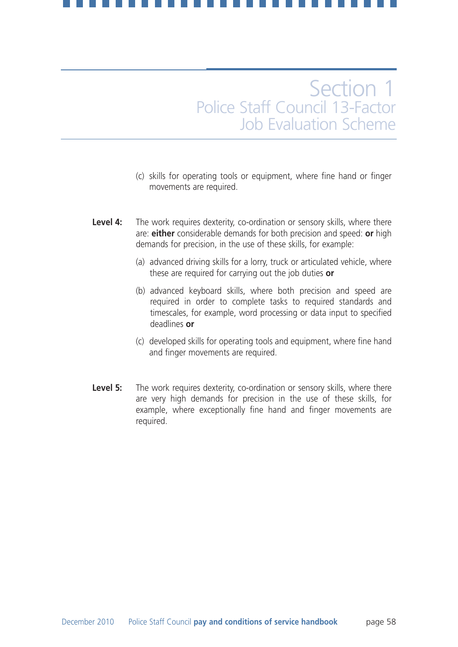- (c) skills for operating tools or equipment, where fine hand or finger movements are required.
- **Level 4:** The work requires dexterity, co-ordination or sensory skills, where there are: **either** considerable demands for both precision and speed: **or** high demands for precision, in the use of these skills, for example:
	- (a) advanced driving skills for a lorry, truck or articulated vehicle, where these are required for carrying out the job duties **or**
	- (b) advanced keyboard skills, where both precision and speed are required in order to complete tasks to required standards and timescales, for example, word processing or data input to specified deadlines **or**
	- (c) developed skills for operating tools and equipment, where fine hand and finger movements are required.
- **Level 5:** The work requires dexterity, co-ordination or sensory skills, where there are very high demands for precision in the use of these skills, for example, where exceptionally fine hand and finger movements are required.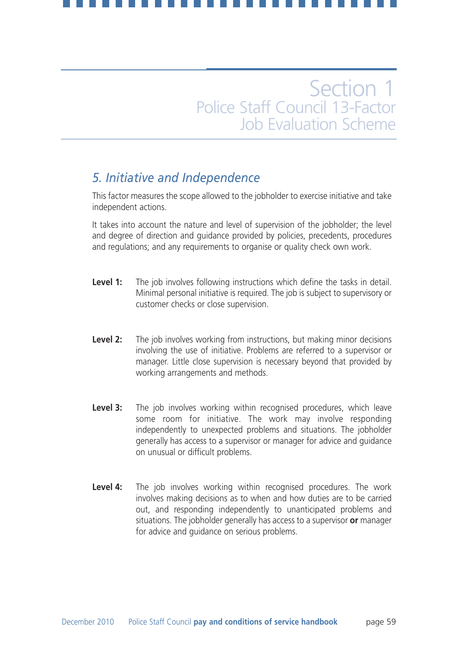## *5. Initiative and Independence*

This factor measures the scope allowed to the jobholder to exercise initiative and take independent actions.

It takes into account the nature and level of supervision of the jobholder; the level and degree of direction and guidance provided by policies, precedents, procedures and regulations; and any requirements to organise or quality check own work.

- **Level 1:** The job involves following instructions which define the tasks in detail. Minimal personal initiative is required. The job is subject to supervisory or customer checks or close supervision.
- **Level 2:** The job involves working from instructions, but making minor decisions involving the use of initiative. Problems are referred to a supervisor or manager. Little close supervision is necessary beyond that provided by working arrangements and methods.
- **Level 3:** The job involves working within recognised procedures, which leave some room for initiative. The work may involve responding independently to unexpected problems and situations. The jobholder generally has access to a supervisor or manager for advice and guidance on unusual or difficult problems.
- **Level 4:** The job involves working within recognised procedures. The work involves making decisions as to when and how duties are to be carried out, and responding independently to unanticipated problems and situations. The jobholder generally has access to a supervisor **or** manager for advice and guidance on serious problems.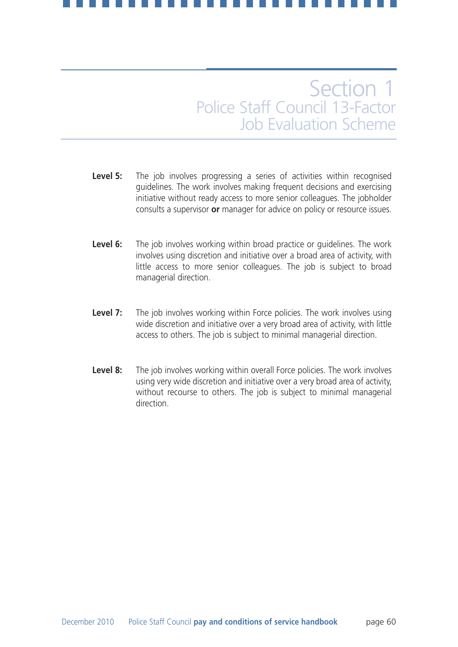- Level 5: The job involves progressing a series of activities within recognised guidelines. The work involves making frequent decisions and exercising initiative without ready access to more senior colleagues. The jobholder consults a supervisor **or** manager for advice on policy or resource issues.
- **Level 6:** The job involves working within broad practice or guidelines. The work involves using discretion and initiative over a broad area of activity, with little access to more senior colleagues. The job is subject to broad managerial direction.
- **Level 7:** The job involves working within Force policies. The work involves using wide discretion and initiative over a very broad area of activity, with little access to others. The job is subject to minimal managerial direction.
- **Level 8:** The job involves working within overall Force policies. The work involves using very wide discretion and initiative over a very broad area of activity, without recourse to others. The job is subject to minimal managerial direction.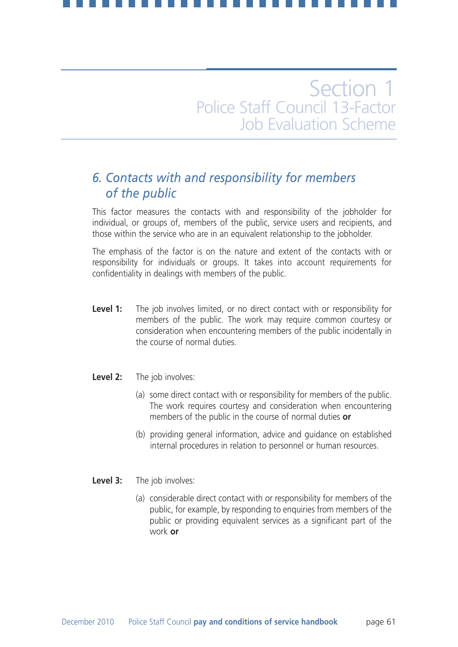## *6. Contacts with and responsibility for members of the public*

This factor measures the contacts with and responsibility of the jobholder for individual, or groups of, members of the public, service users and recipients, and those within the service who are in an equivalent relationship to the jobholder.

The emphasis of the factor is on the nature and extent of the contacts with or responsibility for individuals or groups. It takes into account requirements for confidentiality in dealings with members of the public.

- **Level 1:** The job involves limited, or no direct contact with or responsibility for members of the public. The work may require common courtesy or consideration when encountering members of the public incidentally in the course of normal duties.
- **Level 2:** The job involves:
	- (a) some direct contact with or responsibility for members of the public. The work requires courtesy and consideration when encountering members of the public in the course of normal duties **or**
	- (b) providing general information, advice and guidance on established internal procedures in relation to personnel or human resources.
- **Level 3:** The job involves:
	- (a) considerable direct contact with or responsibility for members of the public, for example, by responding to enquiries from members of the public or providing equivalent services as a significant part of the work **or**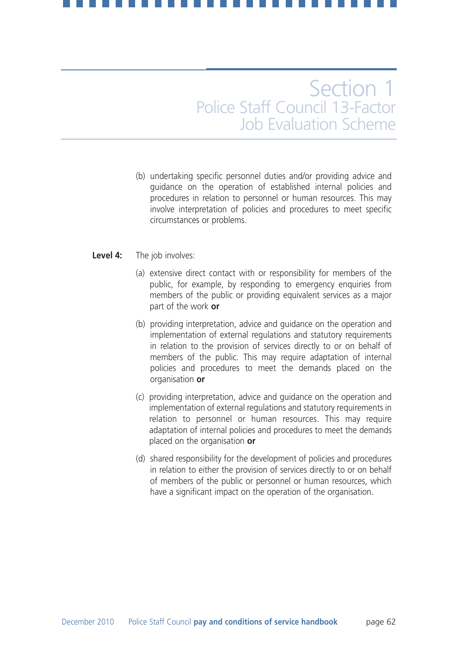(b) undertaking specific personnel duties and/or providing advice and guidance on the operation of established internal policies and procedures in relation to personnel or human resources. This may involve interpretation of policies and procedures to meet specific circumstances or problems.

### **Level 4:** The job involves:

- (a) extensive direct contact with or responsibility for members of the public, for example, by responding to emergency enquiries from members of the public or providing equivalent services as a major part of the work **or**
- (b) providing interpretation, advice and guidance on the operation and implementation of external regulations and statutory requirements in relation to the provision of services directly to or on behalf of members of the public. This may require adaptation of internal policies and procedures to meet the demands placed on the organisation **or**
- (c) providing interpretation, advice and guidance on the operation and implementation of external regulations and statutory requirements in relation to personnel or human resources. This may require adaptation of internal policies and procedures to meet the demands placed on the organisation **or**
- (d) shared responsibility for the development of policies and procedures in relation to either the provision of services directly to or on behalf of members of the public or personnel or human resources, which have a significant impact on the operation of the organisation.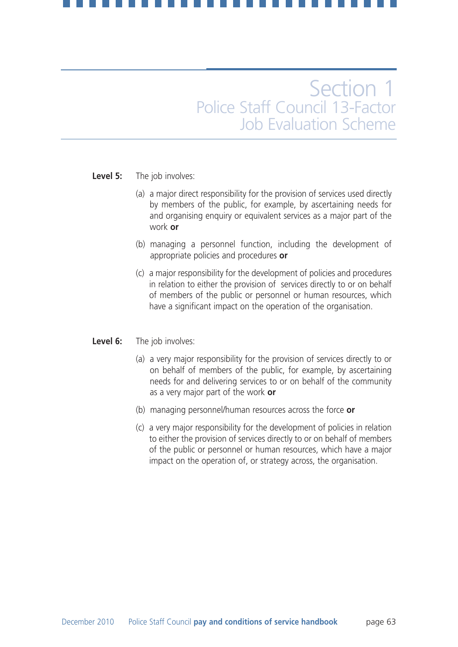### **Level 5:** The job involves:

- (a) a major direct responsibility for the provision of services used directly by members of the public, for example, by ascertaining needs for and organising enquiry or equivalent services as a major part of the work **or**
- (b) managing a personnel function, including the development of appropriate policies and procedures **or**
- (c) a major responsibility for the development of policies and procedures in relation to either the provision of services directly to or on behalf of members of the public or personnel or human resources, which have a significant impact on the operation of the organisation.

### **Level 6:** The job involves:

- (a) a very major responsibility for the provision of services directly to or on behalf of members of the public, for example, by ascertaining needs for and delivering services to or on behalf of the community as a very major part of the work **or**
- (b) managing personnel/human resources across the force **or**
- (c) a very major responsibility for the development of policies in relation to either the provision of services directly to or on behalf of members of the public or personnel or human resources, which have a major impact on the operation of, or strategy across, the organisation.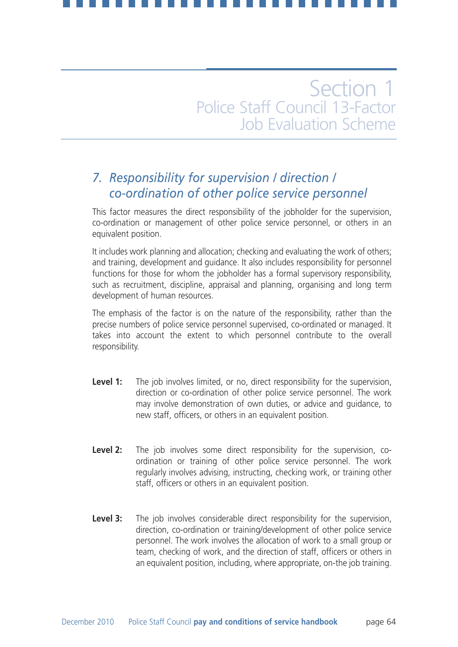## *7. Responsibility for supervision / direction / co-ordination of other police service personnel*

This factor measures the direct responsibility of the jobholder for the supervision, co-ordination or management of other police service personnel, or others in an equivalent position.

It includes work planning and allocation; checking and evaluating the work of others; and training, development and guidance. It also includes responsibility for personnel functions for those for whom the jobholder has a formal supervisory responsibility, such as recruitment, discipline, appraisal and planning, organising and long term development of human resources.

The emphasis of the factor is on the nature of the responsibility, rather than the precise numbers of police service personnel supervised, co-ordinated or managed. It takes into account the extent to which personnel contribute to the overall responsibility.

- **Level 1:** The job involves limited, or no, direct responsibility for the supervision, direction or co-ordination of other police service personnel. The work may involve demonstration of own duties, or advice and guidance, to new staff, officers, or others in an equivalent position.
- **Level 2:** The job involves some direct responsibility for the supervision, coordination or training of other police service personnel. The work regularly involves advising, instructing, checking work, or training other staff, officers or others in an equivalent position.
- **Level 3:** The job involves considerable direct responsibility for the supervision, direction, co-ordination or training/development of other police service personnel. The work involves the allocation of work to a small group or team, checking of work, and the direction of staff, officers or others in an equivalent position, including, where appropriate, on-the job training.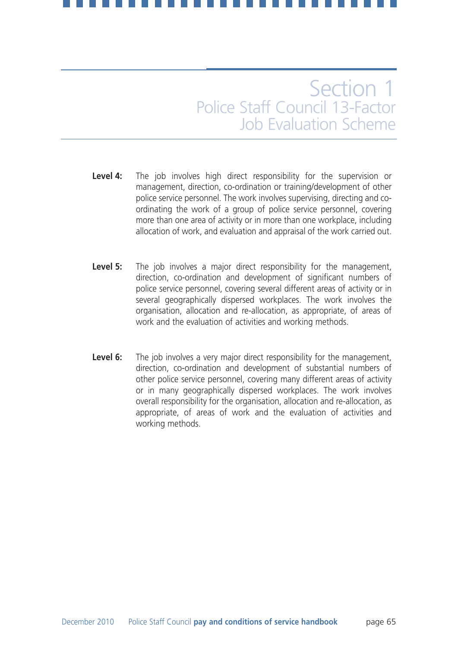- **Level 4:** The job involves high direct responsibility for the supervision or management, direction, co-ordination or training/development of other police service personnel. The work involves supervising, directing and coordinating the work of a group of police service personnel, covering more than one area of activity or in more than one workplace, including allocation of work, and evaluation and appraisal of the work carried out.
- **Level 5:** The job involves a major direct responsibility for the management, direction, co-ordination and development of significant numbers of police service personnel, covering several different areas of activity or in several geographically dispersed workplaces. The work involves the organisation, allocation and re-allocation, as appropriate, of areas of work and the evaluation of activities and working methods.
- **Level 6:** The job involves a very major direct responsibility for the management, direction, co-ordination and development of substantial numbers of other police service personnel, covering many different areas of activity or in many geographically dispersed workplaces. The work involves overall responsibility for the organisation, allocation and re-allocation, as appropriate, of areas of work and the evaluation of activities and working methods.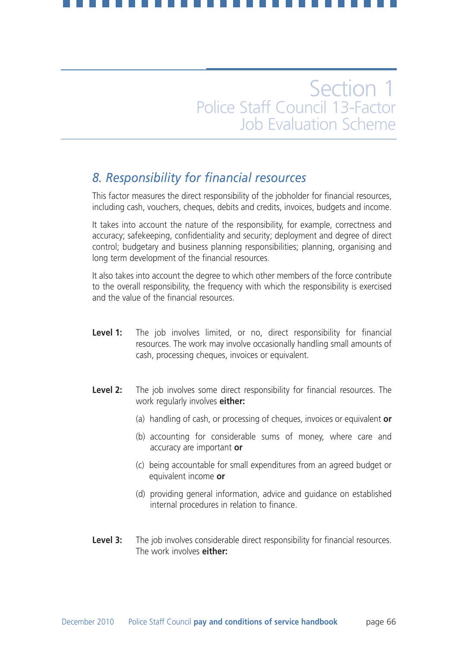## *8. Responsibility for financial resources*

This factor measures the direct responsibility of the jobholder for financial resources, including cash, vouchers, cheques, debits and credits, invoices, budgets and income.

It takes into account the nature of the responsibility, for example, correctness and accuracy; safekeeping, confidentiality and security; deployment and degree of direct control; budgetary and business planning responsibilities; planning, organising and long term development of the financial resources.

It also takes into account the degree to which other members of the force contribute to the overall responsibility, the frequency with which the responsibility is exercised and the value of the financial resources.

- Level 1: The job involves limited, or no, direct responsibility for financial resources. The work may involve occasionally handling small amounts of cash, processing cheques, invoices or equivalent.
- **Level 2:** The job involves some direct responsibility for financial resources. The work regularly involves **either:**
	- (a) handling of cash, or processing of cheques, invoices or equivalent **or**
	- (b) accounting for considerable sums of money, where care and accuracy are important **or**
	- (c) being accountable for small expenditures from an agreed budget or equivalent income **or**
	- (d) providing general information, advice and guidance on established internal procedures in relation to finance.
- **Level 3:** The job involves considerable direct responsibility for financial resources. The work involves **either:**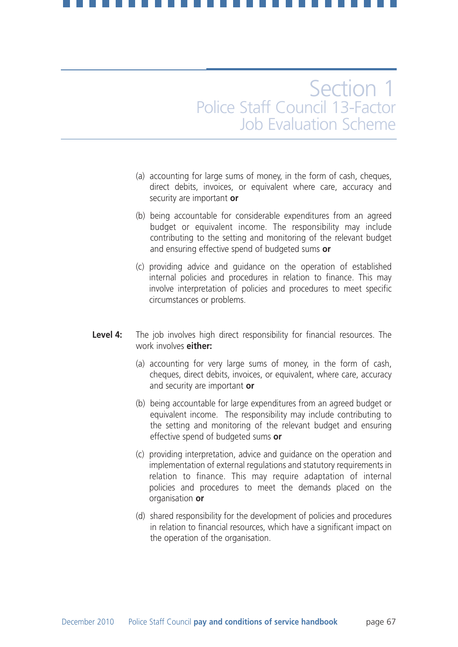- (a) accounting for large sums of money, in the form of cash, cheques, direct debits, invoices, or equivalent where care, accuracy and security are important **or**
- (b) being accountable for considerable expenditures from an agreed budget or equivalent income. The responsibility may include contributing to the setting and monitoring of the relevant budget and ensuring effective spend of budgeted sums **or**
- (c) providing advice and guidance on the operation of established internal policies and procedures in relation to finance. This may involve interpretation of policies and procedures to meet specific circumstances or problems.
- **Level 4:** The job involves high direct responsibility for financial resources. The work involves **either:**
	- (a) accounting for very large sums of money, in the form of cash, cheques, direct debits, invoices, or equivalent, where care, accuracy and security are important **or**
	- (b) being accountable for large expenditures from an agreed budget or equivalent income. The responsibility may include contributing to the setting and monitoring of the relevant budget and ensuring effective spend of budgeted sums **or**
	- (c) providing interpretation, advice and guidance on the operation and implementation of external regulations and statutory requirements in relation to finance. This may require adaptation of internal policies and procedures to meet the demands placed on the organisation **or**
	- (d) shared responsibility for the development of policies and procedures in relation to financial resources, which have a significant impact on the operation of the organisation.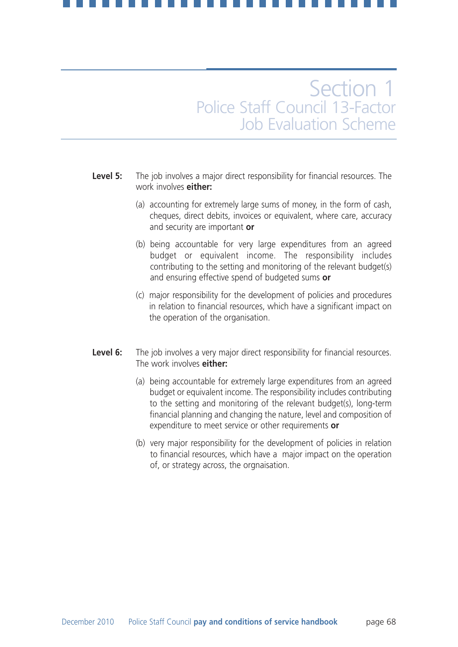- **Level 5:** The job involves a major direct responsibility for financial resources. The work involves **either:**
	- (a) accounting for extremely large sums of money, in the form of cash, cheques, direct debits, invoices or equivalent, where care, accuracy and security are important **or**
	- (b) being accountable for very large expenditures from an agreed budget or equivalent income. The responsibility includes contributing to the setting and monitoring of the relevant budget(s) and ensuring effective spend of budgeted sums **or**
	- (c) major responsibility for the development of policies and procedures in relation to financial resources, which have a significant impact on the operation of the organisation.
- Level 6: The job involves a very major direct responsibility for financial resources. The work involves **either:**
	- (a) being accountable for extremely large expenditures from an agreed budget or equivalent income. The responsibility includes contributing to the setting and monitoring of the relevant budget(s), long-term financial planning and changing the nature, level and composition of expenditure to meet service or other requirements **or**
	- (b) very major responsibility for the development of policies in relation to financial resources, which have a major impact on the operation of, or strategy across, the orgnaisation.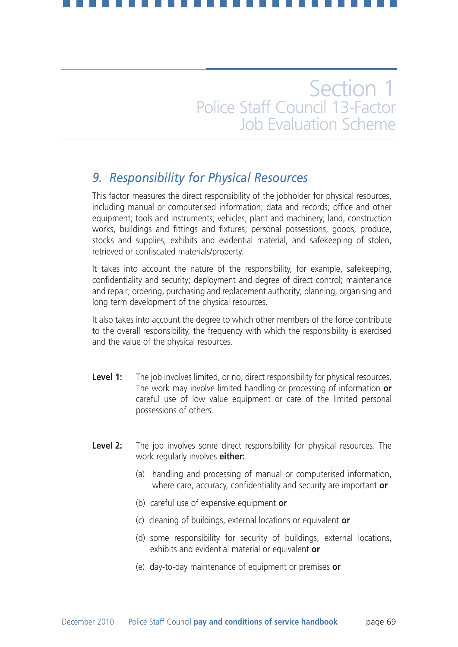## *9. Responsibility for Physical Resources*

This factor measures the direct responsibility of the jobholder for physical resources, including manual or computerised information; data and records; office and other equipment; tools and instruments; vehicles; plant and machinery; land, construction works, buildings and fittings and fixtures; personal possessions, goods, produce, stocks and supplies, exhibits and evidential material, and safekeeping of stolen, retrieved or confiscated materials/property.

It takes into account the nature of the responsibility, for example, safekeeping, confidentiality and security; deployment and degree of direct control; maintenance and repair; ordering, purchasing and replacement authority; planning, organising and long term development of the physical resources.

It also takes into account the degree to which other members of the force contribute to the overall responsibility, the frequency with which the responsibility is exercised and the value of the physical resources.

- **Level 1:** The job involves limited, or no, direct responsibility for physical resources. The work may involve limited handling or processing of information **or** careful use of low value equipment or care of the limited personal possessions of others.
- **Level 2:** The job involves some direct responsibility for physical resources. The work regularly involves **either:**
	- (a) handling and processing of manual or computerised information, where care, accuracy, confidentiality and security are important **or**
	- (b) careful use of expensive equipment **or**
	- (c) cleaning of buildings, external locations or equivalent **or**
	- (d) some responsibility for security of buildings, external locations, exhibits and evidential material or equivalent **or**
	- (e) day-to-day maintenance of equipment or premises **or**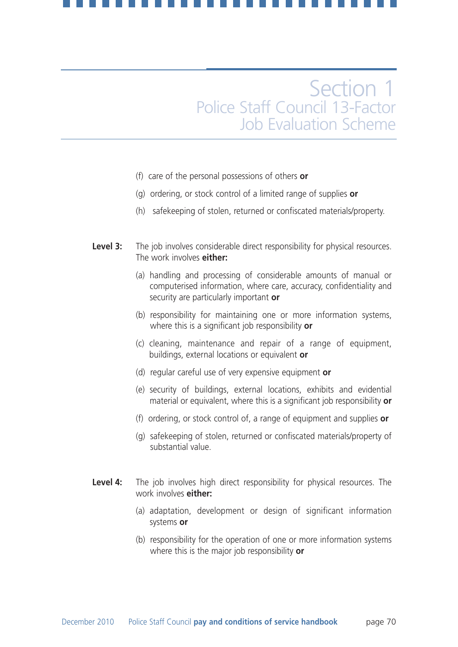- (f) care of the personal possessions of others **or**
- (g) ordering, or stock control of a limited range of supplies **or**
- (h) safekeeping of stolen, returned or confiscated materials/property.
- **Level 3:** The job involves considerable direct responsibility for physical resources. The work involves **either:**
	- (a) handling and processing of considerable amounts of manual or computerised information, where care, accuracy, confidentiality and security are particularly important **or**
	- (b) responsibility for maintaining one or more information systems, where this is a significant job responsibility **or**
	- (c) cleaning, maintenance and repair of a range of equipment, buildings, external locations or equivalent **or**
	- (d) regular careful use of very expensive equipment **or**
	- (e) security of buildings, external locations, exhibits and evidential material or equivalent, where this is a significant job responsibility **or**
	- (f) ordering, or stock control of, a range of equipment and supplies **or**
	- (g) safekeeping of stolen, returned or confiscated materials/property of substantial value.
- **Level 4:** The job involves high direct responsibility for physical resources. The work involves **either:**
	- (a) adaptation, development or design of significant information systems **or**
	- (b) responsibility for the operation of one or more information systems where this is the major job responsibility **or**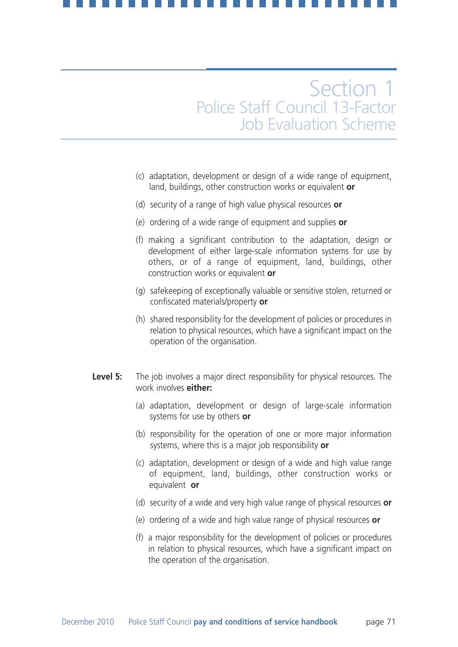- (c) adaptation, development or design of a wide range of equipment, land, buildings, other construction works or equivalent **or**
- (d) security of a range of high value physical resources **or**
- (e) ordering of a wide range of equipment and supplies **or**
- (f) making a significant contribution to the adaptation, design or development of either large-scale information systems for use by others, or of a range of equipment, land, buildings, other construction works or equivalent **or**
- (g) safekeeping of exceptionally valuable or sensitive stolen, returned or confiscated materials/property **or**
- (h) shared responsibility for the development of policies or procedures in relation to physical resources, which have a significant impact on the operation of the organisation.
- **Level 5:** The job involves a major direct responsibility for physical resources. The work involves **either:**
	- (a) adaptation, development or design of large-scale information systems for use by others **or**
	- (b) responsibility for the operation of one or more major information systems, where this is a major job responsibility **or**
	- (c) adaptation, development or design of a wide and high value range of equipment, land, buildings, other construction works or equivalent **or**
	- (d) security of a wide and very high value range of physical resources **or**
	- (e) ordering of a wide and high value range of physical resources **or**
	- (f) a major responsibility for the development of policies or procedures in relation to physical resources, which have a significant impact on the operation of the organisation.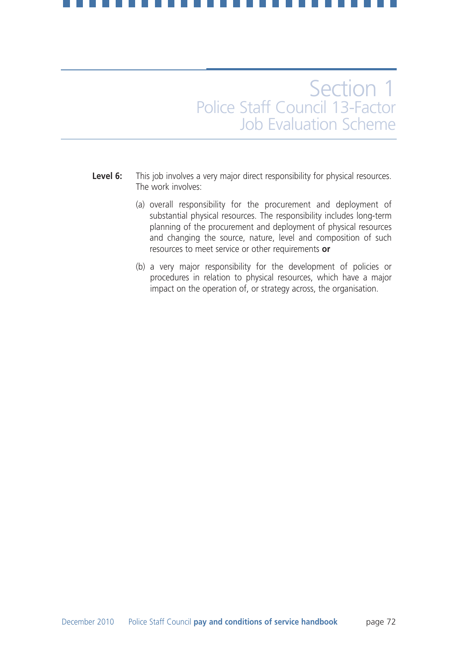- Level 6: This job involves a very major direct responsibility for physical resources. The work involves:
	- (a) overall responsibility for the procurement and deployment of substantial physical resources. The responsibility includes long-term planning of the procurement and deployment of physical resources and changing the source, nature, level and composition of such resources to meet service or other requirements **or**
	- (b) a very major responsibility for the development of policies or procedures in relation to physical resources, which have a major impact on the operation of, or strategy across, the organisation.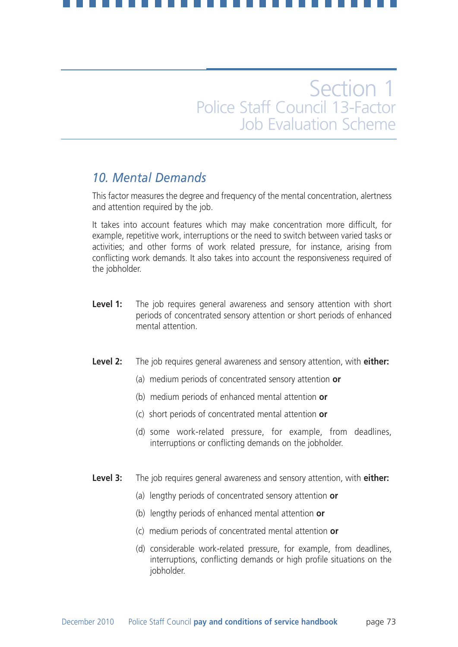## *10. Mental Demands*

This factor measures the degree and frequency of the mental concentration, alertness and attention required by the job.

It takes into account features which may make concentration more difficult, for example, repetitive work, interruptions or the need to switch between varied tasks or activities; and other forms of work related pressure, for instance, arising from conflicting work demands. It also takes into account the responsiveness required of the jobholder.

- **Level 1:** The job requires general awareness and sensory attention with short periods of concentrated sensory attention or short periods of enhanced mental attention.
- **Level 2:** The job requires general awareness and sensory attention, with **either:**
	- (a) medium periods of concentrated sensory attention **or**
	- (b) medium periods of enhanced mental attention **or**
	- (c) short periods of concentrated mental attention **or**
	- (d) some work-related pressure, for example, from deadlines, interruptions or conflicting demands on the jobholder.
- **Level 3:** The job requires general awareness and sensory attention, with **either:**
	- (a) lengthy periods of concentrated sensory attention **or**
	- (b) lengthy periods of enhanced mental attention **or**
	- (c) medium periods of concentrated mental attention **or**
	- (d) considerable work-related pressure, for example, from deadlines, interruptions, conflicting demands or high profile situations on the jobholder.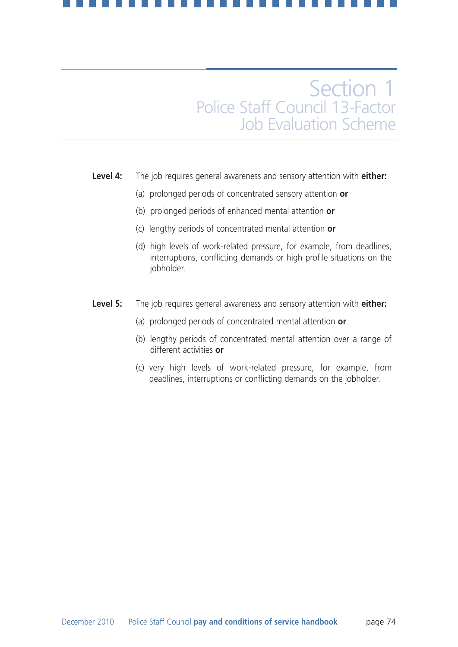### **Level 4:** The job requires general awareness and sensory attention with **either:**

- (a) prolonged periods of concentrated sensory attention **or**
- (b) prolonged periods of enhanced mental attention **or**
- (c) lengthy periods of concentrated mental attention **or**
- (d) high levels of work-related pressure, for example, from deadlines, interruptions, conflicting demands or high profile situations on the jobholder.
- **Level 5:** The job requires general awareness and sensory attention with **either:**
	- (a) prolonged periods of concentrated mental attention **or**
	- (b) lengthy periods of concentrated mental attention over a range of different activities **or**
	- (c) very high levels of work-related pressure, for example, from deadlines, interruptions or conflicting demands on the jobholder.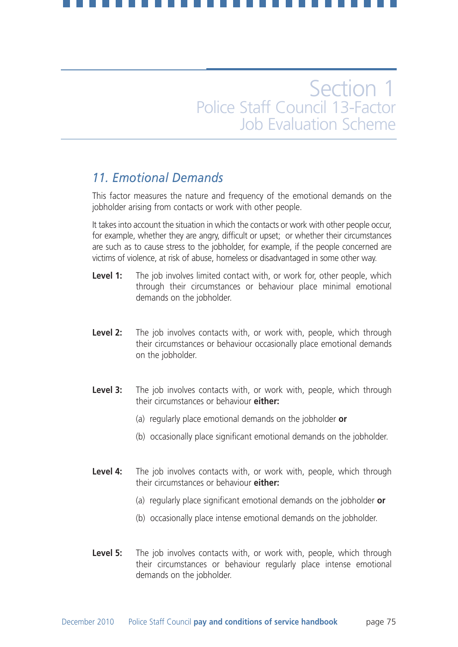## *11. Emotional Demands*

This factor measures the nature and frequency of the emotional demands on the jobholder arising from contacts or work with other people.

It takes into account the situation in which the contacts or work with other people occur, for example, whether they are angry, difficult or upset; or whether their circumstances are such as to cause stress to the jobholder, for example, if the people concerned are victims of violence, at risk of abuse, homeless or disadvantaged in some other way.

- **Level 1:** The job involves limited contact with, or work for, other people, which through their circumstances or behaviour place minimal emotional demands on the jobholder.
- **Level 2:** The job involves contacts with, or work with, people, which through their circumstances or behaviour occasionally place emotional demands on the jobholder.
- Level 3: The job involves contacts with, or work with, people, which through their circumstances or behaviour **either:**
	- (a) regularly place emotional demands on the jobholder **or**
	- (b) occasionally place significant emotional demands on the jobholder.
- **Level 4:** The job involves contacts with, or work with, people, which through their circumstances or behaviour **either:**
	- (a) regularly place significant emotional demands on the jobholder **or**
	- (b) occasionally place intense emotional demands on the jobholder.
- Level 5: The job involves contacts with, or work with, people, which through their circumstances or behaviour regularly place intense emotional demands on the jobholder.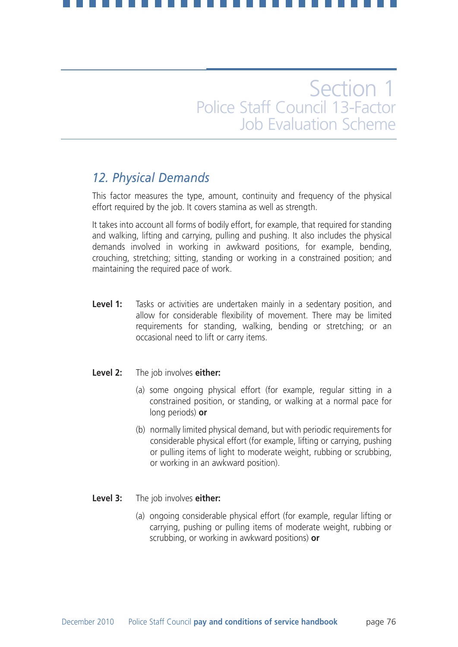## *12. Physical Demands*

This factor measures the type, amount, continuity and frequency of the physical effort required by the job. It covers stamina as well as strength.

It takes into account all forms of bodily effort, for example, that required for standing and walking, lifting and carrying, pulling and pushing. It also includes the physical demands involved in working in awkward positions, for example, bending, crouching, stretching; sitting, standing or working in a constrained position; and maintaining the required pace of work.

**Level 1:** Tasks or activities are undertaken mainly in a sedentary position, and allow for considerable flexibility of movement. There may be limited requirements for standing, walking, bending or stretching; or an occasional need to lift or carry items.

### **Level 2:** The job involves **either:**

- (a) some ongoing physical effort (for example, regular sitting in a constrained position, or standing, or walking at a normal pace for long periods) **or**
- (b) normally limited physical demand, but with periodic requirements for considerable physical effort (for example, lifting or carrying, pushing or pulling items of light to moderate weight, rubbing or scrubbing, or working in an awkward position).

### **Level 3:** The job involves **either:**

(a) ongoing considerable physical effort (for example, regular lifting or carrying, pushing or pulling items of moderate weight, rubbing or scrubbing, or working in awkward positions) **or**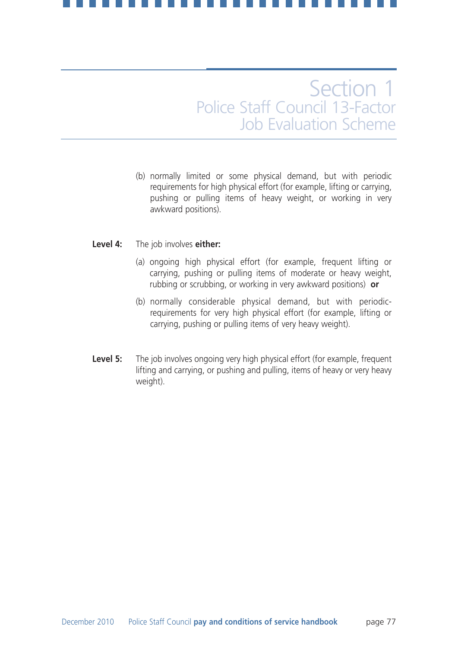(b) normally limited or some physical demand, but with periodic requirements for high physical effort (for example, lifting or carrying, pushing or pulling items of heavy weight, or working in very awkward positions).

### **Level 4:** The job involves **either:**

- (a) ongoing high physical effort (for example, frequent lifting or carrying, pushing or pulling items of moderate or heavy weight, rubbing or scrubbing, or working in very awkward positions) **or**
- (b) normally considerable physical demand, but with periodicrequirements for very high physical effort (for example, lifting or carrying, pushing or pulling items of very heavy weight).
- **Level 5:** The job involves ongoing very high physical effort (for example, frequent lifting and carrying, or pushing and pulling, items of heavy or very heavy weight).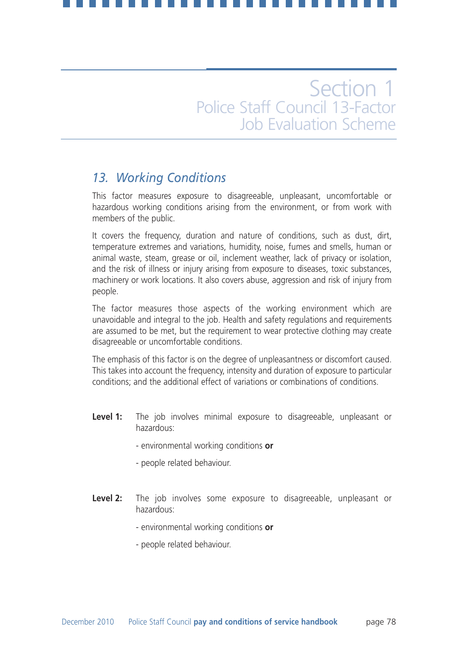## *13. Working Conditions*

This factor measures exposure to disagreeable, unpleasant, uncomfortable or hazardous working conditions arising from the environment, or from work with members of the public.

It covers the frequency, duration and nature of conditions, such as dust, dirt, temperature extremes and variations, humidity, noise, fumes and smells, human or animal waste, steam, grease or oil, inclement weather, lack of privacy or isolation, and the risk of illness or injury arising from exposure to diseases, toxic substances, machinery or work locations. It also covers abuse, aggression and risk of injury from people.

The factor measures those aspects of the working environment which are unavoidable and integral to the job. Health and safety regulations and requirements are assumed to be met, but the requirement to wear protective clothing may create disagreeable or uncomfortable conditions.

The emphasis of this factor is on the degree of unpleasantness or discomfort caused. This takes into account the frequency, intensity and duration of exposure to particular conditions; and the additional effect of variations or combinations of conditions.

- Level 1: The job involves minimal exposure to disagreeable, unpleasant or hazardous:
	- environmental working conditions **or**
	- people related behaviour.
- Level 2: The job involves some exposure to disagreeable, unpleasant or hazardous:
	- environmental working conditions **or**
	- people related behaviour.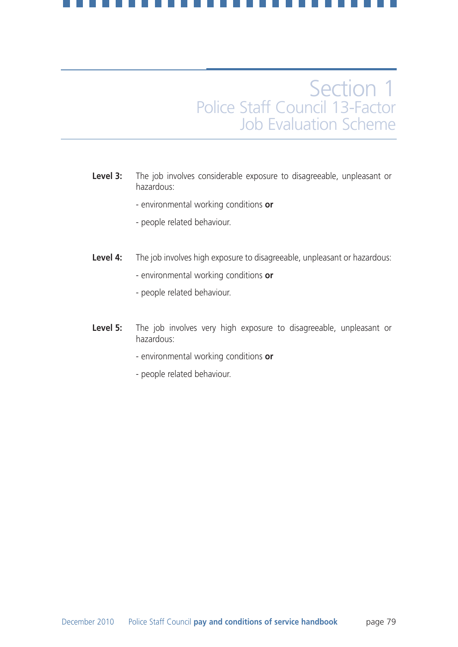- **Level 3:** The job involves considerable exposure to disagreeable, unpleasant or hazardous:
	- environmental working conditions **or**
	- people related behaviour.
- **Level 4:** The job involves high exposure to disagreeable, unpleasant or hazardous:
	- environmental working conditions **or**
	- people related behaviour.
- Level 5: The job involves very high exposure to disagreeable, unpleasant or hazardous:
	- environmental working conditions **or**
	- people related behaviour.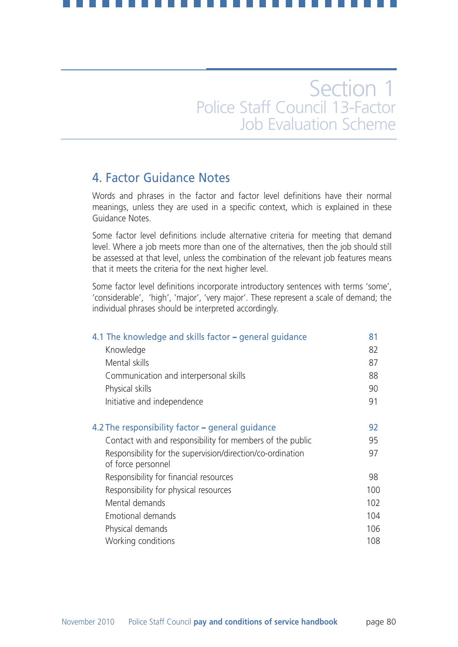## 4. Factor Guidance Notes

Words and phrases in the factor and factor level definitions have their normal meanings, unless they are used in a specific context, which is explained in these Guidance Notes.

Some factor level definitions include alternative criteria for meeting that demand level. Where a job meets more than one of the alternatives, then the job should still be assessed at that level, unless the combination of the relevant job features means that it meets the criteria for the next higher level.

Some factor level definitions incorporate introductory sentences with terms 'some', 'considerable', 'high', 'major', 'very major'. These represent a scale of demand; the individual phrases should be interpreted accordingly.

| 4.1 The knowledge and skills factor – general guidance                           | 81  |
|----------------------------------------------------------------------------------|-----|
| Knowledge                                                                        | 82  |
| Mental skills                                                                    | 87  |
| Communication and interpersonal skills                                           | 88  |
| Physical skills                                                                  | 90  |
| Initiative and independence                                                      | 91  |
| 4.2 The responsibility factor – general guidance                                 | 92  |
| Contact with and responsibility for members of the public                        | 95  |
| Responsibility for the supervision/direction/co-ordination<br>of force personnel | 97  |
| Responsibility for financial resources                                           | 98  |
| Responsibility for physical resources                                            | 100 |
| Mental demands                                                                   | 102 |
| Emotional demands                                                                | 104 |
| Physical demands                                                                 | 106 |
| Working conditions                                                               | 108 |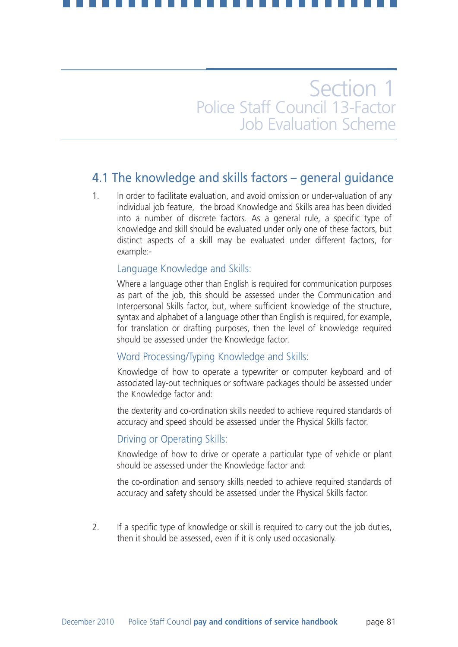## 4.1 The knowledge and skills factors – general guidance

1. In order to facilitate evaluation, and avoid omission or under-valuation of any individual job feature, the broad Knowledge and Skills area has been divided into a number of discrete factors. As a general rule, a specific type of knowledge and skill should be evaluated under only one of these factors, but distinct aspects of a skill may be evaluated under different factors, for example:-

### Language Knowledge and Skills:

Where a language other than English is required for communication purposes as part of the job, this should be assessed under the Communication and Interpersonal Skills factor, but, where sufficient knowledge of the structure, syntax and alphabet of a language other than English is required, for example, for translation or drafting purposes, then the level of knowledge required should be assessed under the Knowledge factor.

### Word Processing/Typing Knowledge and Skills:

Knowledge of how to operate a typewriter or computer keyboard and of associated lay-out techniques or software packages should be assessed under the Knowledge factor and:

the dexterity and co-ordination skills needed to achieve required standards of accuracy and speed should be assessed under the Physical Skills factor.

### Driving or Operating Skills:

Knowledge of how to drive or operate a particular type of vehicle or plant should be assessed under the Knowledge factor and:

the co-ordination and sensory skills needed to achieve required standards of accuracy and safety should be assessed under the Physical Skills factor.

2. If a specific type of knowledge or skill is required to carry out the job duties, then it should be assessed, even if it is only used occasionally.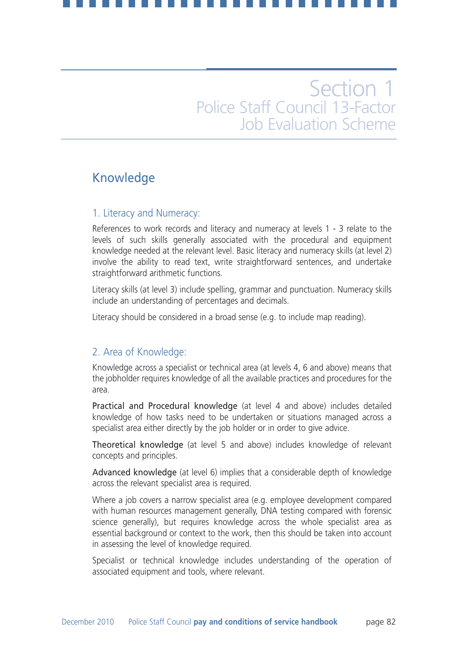## Knowledge

### 1. Literacy and Numeracy:

References to work records and literacy and numeracy at levels 1 - 3 relate to the levels of such skills generally associated with the procedural and equipment knowledge needed at the relevant level. Basic literacy and numeracy skills (at level 2) involve the ability to read text, write straightforward sentences, and undertake straightforward arithmetic functions.

Literacy skills (at level 3) include spelling, grammar and punctuation. Numeracy skills include an understanding of percentages and decimals.

Literacy should be considered in a broad sense (e.g. to include map reading).

### 2. Area of Knowledge:

Knowledge across a specialist or technical area (at levels 4, 6 and above) means that the jobholder requires knowledge of all the available practices and procedures for the area.

Practical and Procedural knowledge (at level 4 and above) includes detailed knowledge of how tasks need to be undertaken or situations managed across a specialist area either directly by the job holder or in order to give advice.

Theoretical knowledge (at level 5 and above) includes knowledge of relevant concepts and principles.

Advanced knowledge (at level 6) implies that a considerable depth of knowledge across the relevant specialist area is required.

Where a job covers a narrow specialist area (e.g. employee development compared with human resources management generally, DNA testing compared with forensic science generally), but requires knowledge across the whole specialist area as essential background or context to the work, then this should be taken into account in assessing the level of knowledge required.

Specialist or technical knowledge includes understanding of the operation of associated equipment and tools, where relevant.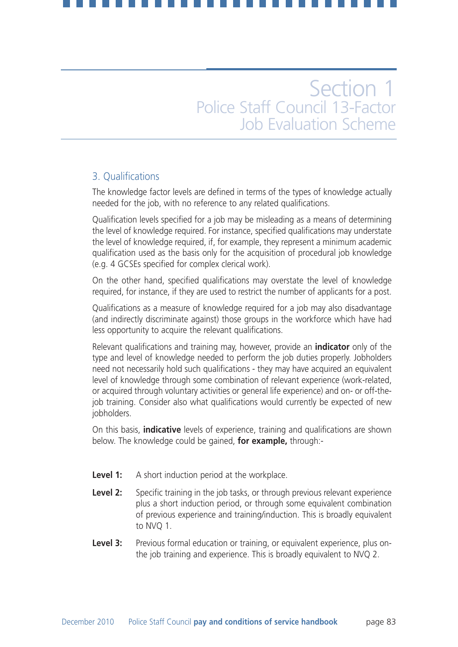## 3. Qualifications

The knowledge factor levels are defined in terms of the types of knowledge actually needed for the job, with no reference to any related qualifications.

Qualification levels specified for a job may be misleading as a means of determining the level of knowledge required. For instance, specified qualifications may understate the level of knowledge required, if, for example, they represent a minimum academic qualification used as the basis only for the acquisition of procedural job knowledge (e.g. 4 GCSEs specified for complex clerical work).

On the other hand, specified qualifications may overstate the level of knowledge required, for instance, if they are used to restrict the number of applicants for a post.

Qualifications as a measure of knowledge required for a job may also disadvantage (and indirectly discriminate against) those groups in the workforce which have had less opportunity to acquire the relevant qualifications.

Relevant qualifications and training may, however, provide an **indicator** only of the type and level of knowledge needed to perform the job duties properly. Jobholders need not necessarily hold such qualifications - they may have acquired an equivalent level of knowledge through some combination of relevant experience (work-related, or acquired through voluntary activities or general life experience) and on- or off-thejob training. Consider also what qualifications would currently be expected of new jobholders.

On this basis, **indicative** levels of experience, training and qualifications are shown below. The knowledge could be gained, **for example,** through:-

- **Level 1:** A short induction period at the workplace.
- **Level 2:** Specific training in the job tasks, or through previous relevant experience plus a short induction period, or through some equivalent combination of previous experience and training/induction. This is broadly equivalent to NVQ 1.
- **Level 3:** Previous formal education or training, or equivalent experience, plus onthe job training and experience. This is broadly equivalent to NVQ 2.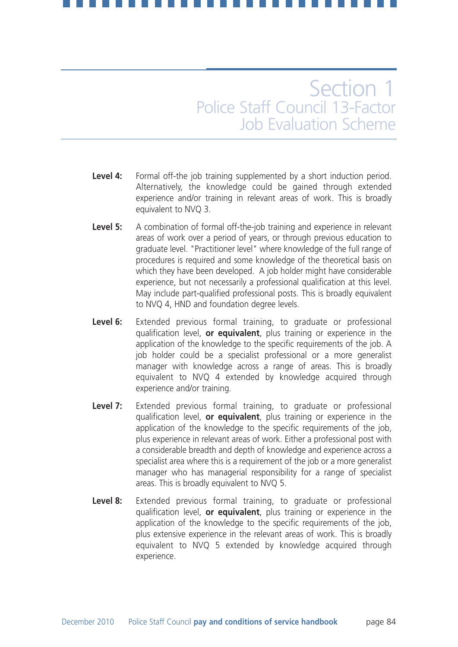- Level 4: Formal off-the job training supplemented by a short induction period. Alternatively, the knowledge could be gained through extended experience and/or training in relevant areas of work. This is broadly equivalent to NVQ 3.
- Level 5: A combination of formal off-the-job training and experience in relevant areas of work over a period of years, or through previous education to graduate level. "Practitioner level" where knowledge of the full range of procedures is required and some knowledge of the theoretical basis on which they have been developed. A job holder might have considerable experience, but not necessarily a professional qualification at this level. May include part-qualified professional posts. This is broadly equivalent to NVQ 4, HND and foundation degree levels.
- **Level 6:** Extended previous formal training, to graduate or professional qualification level, **or equivalent**, plus training or experience in the application of the knowledge to the specific requirements of the job. A job holder could be a specialist professional or a more generalist manager with knowledge across a range of areas. This is broadly equivalent to NVQ 4 extended by knowledge acquired through experience and/or training.
- **Level 7:** Extended previous formal training, to graduate or professional qualification level, **or equivalent**, plus training or experience in the application of the knowledge to the specific requirements of the job, plus experience in relevant areas of work. Either a professional post with a considerable breadth and depth of knowledge and experience across a specialist area where this is a requirement of the job or a more generalist manager who has managerial responsibility for a range of specialist areas. This is broadly equivalent to NVQ 5.
- **Level 8:** Extended previous formal training, to graduate or professional qualification level, **or equivalent**, plus training or experience in the application of the knowledge to the specific requirements of the job, plus extensive experience in the relevant areas of work. This is broadly equivalent to NVQ 5 extended by knowledge acquired through experience.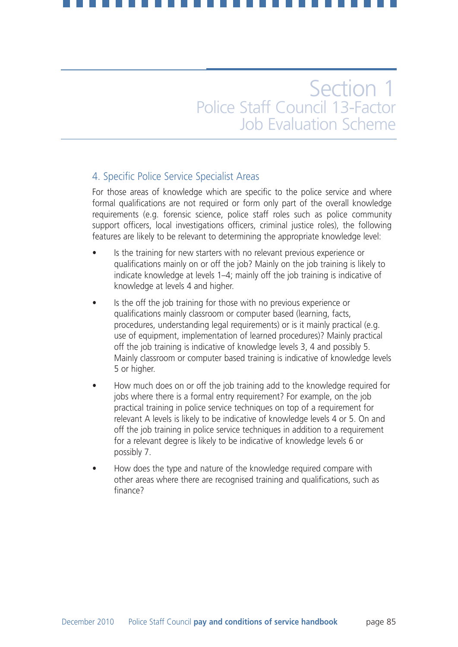## 4. Specific Police Service Specialist Areas

For those areas of knowledge which are specific to the police service and where formal qualifications are not required or form only part of the overall knowledge requirements (e.g. forensic science, police staff roles such as police community support officers, local investigations officers, criminal justice roles), the following features are likely to be relevant to determining the appropriate knowledge level:

- Is the training for new starters with no relevant previous experience or qualifications mainly on or off the job? Mainly on the job training is likely to indicate knowledge at levels 1–4; mainly off the job training is indicative of knowledge at levels 4 and higher.
- Is the off the job training for those with no previous experience or qualifications mainly classroom or computer based (learning, facts, procedures, understanding legal requirements) or is it mainly practical (e.g. use of equipment, implementation of learned procedures)? Mainly practical off the job training is indicative of knowledge levels 3, 4 and possibly 5. Mainly classroom or computer based training is indicative of knowledge levels 5 or higher.
- How much does on or off the job training add to the knowledge required for jobs where there is a formal entry requirement? For example, on the job practical training in police service techniques on top of a requirement for relevant A levels is likely to be indicative of knowledge levels 4 or 5. On and off the job training in police service techniques in addition to a requirement for a relevant degree is likely to be indicative of knowledge levels 6 or possibly 7.
- How does the type and nature of the knowledge required compare with other areas where there are recognised training and qualifications, such as finance?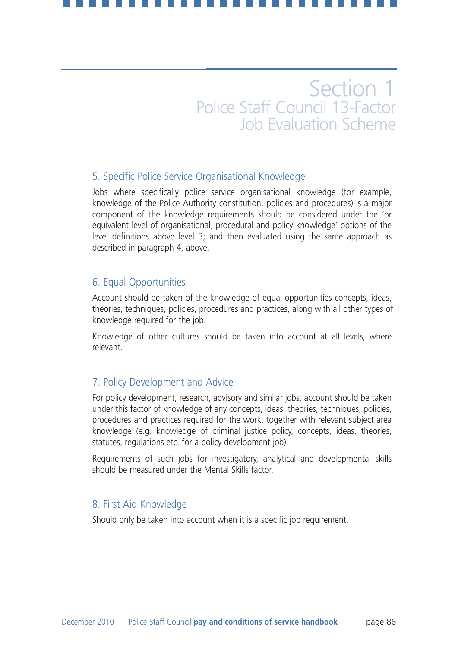## 5. Specific Police Service Organisational Knowledge

Jobs where specifically police service organisational knowledge (for example, knowledge of the Police Authority constitution, policies and procedures) is a major component of the knowledge requirements should be considered under the 'or equivalent level of organisational, procedural and policy knowledge' options of the level definitions above level 3; and then evaluated using the same approach as described in paragraph 4, above.

## 6. Equal Opportunities

Account should be taken of the knowledge of equal opportunities concepts, ideas, theories, techniques, policies, procedures and practices, along with all other types of knowledge required for the job.

Knowledge of other cultures should be taken into account at all levels, where relevant.

## 7. Policy Development and Advice

For policy development, research, advisory and similar jobs, account should be taken under this factor of knowledge of any concepts, ideas, theories, techniques, policies, procedures and practices required for the work, together with relevant subject area knowledge (e.g. knowledge of criminal justice policy, concepts, ideas, theories, statutes, regulations etc. for a policy development job).

Requirements of such jobs for investigatory, analytical and developmental skills should be measured under the Mental Skills factor.

### 8. First Aid Knowledge

Should only be taken into account when it is a specific job requirement.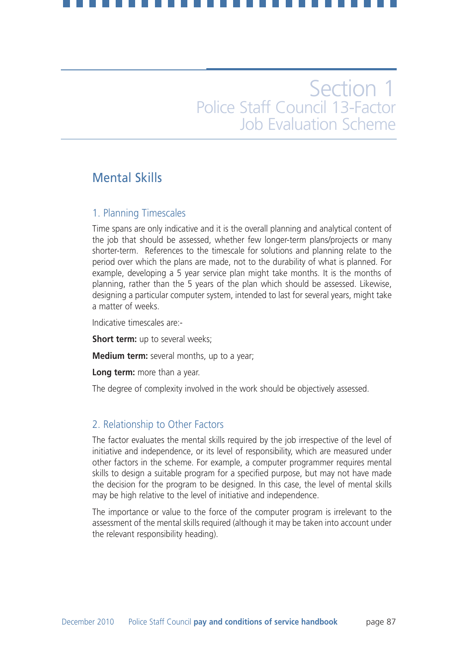## Mental Skills

### 1. Planning Timescales

Time spans are only indicative and it is the overall planning and analytical content of the job that should be assessed, whether few longer-term plans/projects or many shorter-term. References to the timescale for solutions and planning relate to the period over which the plans are made, not to the durability of what is planned. For example, developing a 5 year service plan might take months. It is the months of planning, rather than the 5 years of the plan which should be assessed. Likewise, designing a particular computer system, intended to last for several years, might take a matter of weeks.

Indicative timescales are:-

**Short term:** up to several weeks:

**Medium term:** several months, up to a year;

**Long term:** more than a year.

The degree of complexity involved in the work should be objectively assessed.

## 2. Relationship to Other Factors

The factor evaluates the mental skills required by the job irrespective of the level of initiative and independence, or its level of responsibility, which are measured under other factors in the scheme. For example, a computer programmer requires mental skills to design a suitable program for a specified purpose, but may not have made the decision for the program to be designed. In this case, the level of mental skills may be high relative to the level of initiative and independence.

The importance or value to the force of the computer program is irrelevant to the assessment of the mental skills required (although it may be taken into account under the relevant responsibility heading).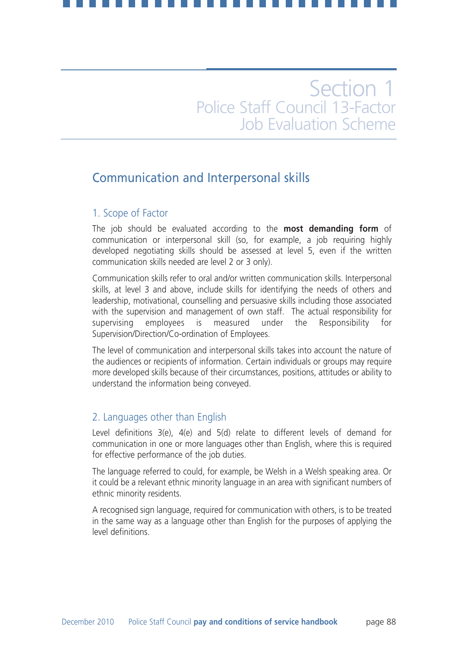## Communication and Interpersonal skills

### 1. Scope of Factor

The job should be evaluated according to the **most demanding form** of communication or interpersonal skill (so, for example, a job requiring highly developed negotiating skills should be assessed at level 5, even if the written communication skills needed are level 2 or 3 only).

Communication skills refer to oral and/or written communication skills. Interpersonal skills, at level 3 and above, include skills for identifying the needs of others and leadership, motivational, counselling and persuasive skills including those associated with the supervision and management of own staff. The actual responsibility for supervising employees is measured under the Responsibility for Supervision/Direction/Co-ordination of Employees.

The level of communication and interpersonal skills takes into account the nature of the audiences or recipients of information. Certain individuals or groups may require more developed skills because of their circumstances, positions, attitudes or ability to understand the information being conveyed.

## 2. Languages other than English

Level definitions 3(e), 4(e) and 5(d) relate to different levels of demand for communication in one or more languages other than English, where this is required for effective performance of the job duties.

The language referred to could, for example, be Welsh in a Welsh speaking area. Or it could be a relevant ethnic minority language in an area with significant numbers of ethnic minority residents.

A recognised sign language, required for communication with others, is to be treated in the same way as a language other than English for the purposes of applying the level definitions.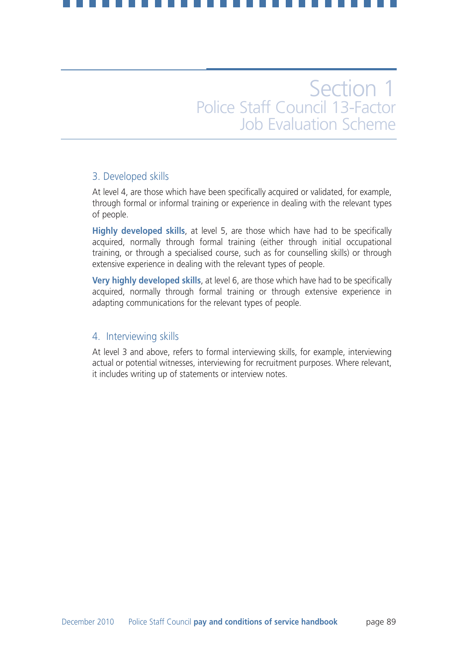### 3. Developed skills

At level 4, are those which have been specifically acquired or validated, for example, through formal or informal training or experience in dealing with the relevant types of people.

**Highly developed skills**, at level 5, are those which have had to be specifically acquired, normally through formal training (either through initial occupational training, or through a specialised course, such as for counselling skills) or through extensive experience in dealing with the relevant types of people.

**Very highly developed skills**, at level 6, are those which have had to be specifically acquired, normally through formal training or through extensive experience in adapting communications for the relevant types of people.

### 4. Interviewing skills

At level 3 and above, refers to formal interviewing skills, for example, interviewing actual or potential witnesses, interviewing for recruitment purposes. Where relevant, it includes writing up of statements or interview notes.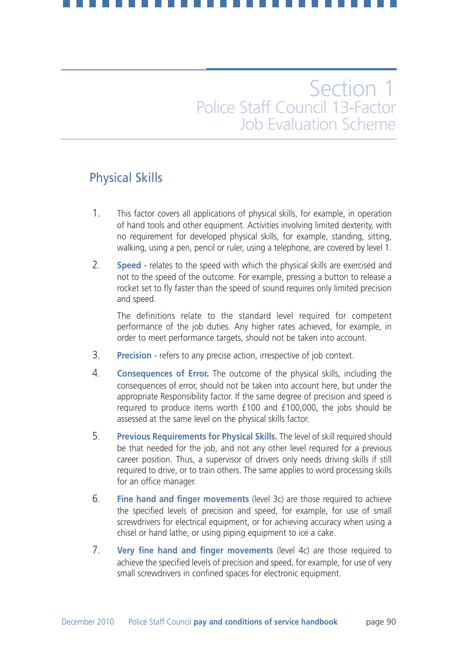## Physical Skills

- 1. This factor covers all applications of physical skills, for example, in operation of hand tools and other equipment. Activities involving limited dexterity, with no requirement for developed physical skills, for example, standing, sitting, walking, using a pen, pencil or ruler, using a telephone, are covered by level 1.
- 2. **Speed** relates to the speed with which the physical skills are exercised and not to the speed of the outcome. For example, pressing a button to release a rocket set to fly faster than the speed of sound requires only limited precision and speed.

The definitions relate to the standard level required for competent performance of the job duties. Any higher rates achieved, for example, in order to meet performance targets, should not be taken into account.

- 3. **Precision** refers to any precise action, irrespective of job context.
- 4. **Consequences of Error.** The outcome of the physical skills, including the consequences of error, should not be taken into account here, but under the appropriate Responsibility factor. If the same degree of precision and speed is required to produce items worth £100 and £100,000, the jobs should be assessed at the same level on the physical skills factor.
- 5. **Previous Requirements for Physical Skills.** The level of skill required should be that needed for the job, and not any other level required for a previous career position. Thus, a supervisor of drivers only needs driving skills if still required to drive, or to train others. The same applies to word processing skills for an office manager.
- 6. **Fine hand and finger movements** (level 3c) are those required to achieve the specified levels of precision and speed, for example, for use of small screwdrivers for electrical equipment, or for achieving accuracy when using a chisel or hand lathe, or using piping equipment to ice a cake.
- 7. **Very fine hand and finger movements** (level 4c) are those required to achieve the specified levels of precision and speed, for example, for use of very small screwdrivers in confined spaces for electronic equipment.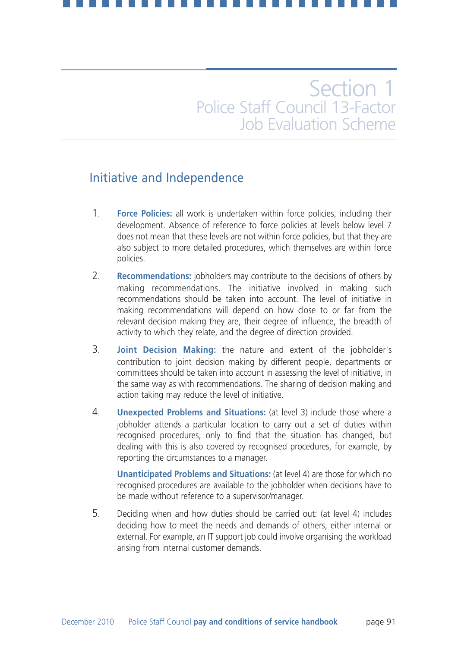## Initiative and Independence

- 1. **Force Policies:** all work is undertaken within force policies, including their development. Absence of reference to force policies at levels below level 7 does not mean that these levels are not within force policies, but that they are also subject to more detailed procedures, which themselves are within force policies.
- 2. **Recommendations:** jobholders may contribute to the decisions of others by making recommendations. The initiative involved in making such recommendations should be taken into account. The level of initiative in making recommendations will depend on how close to or far from the relevant decision making they are, their degree of influence, the breadth of activity to which they relate, and the degree of direction provided.
- 3. **Joint Decision Making:** the nature and extent of the jobholder's contribution to joint decision making by different people, departments or committees should be taken into account in assessing the level of initiative, in the same way as with recommendations. The sharing of decision making and action taking may reduce the level of initiative.
- 4. **Unexpected Problems and Situations:** (at level 3) include those where a jobholder attends a particular location to carry out a set of duties within recognised procedures, only to find that the situation has changed, but dealing with this is also covered by recognised procedures, for example, by reporting the circumstances to a manager.

**Unanticipated Problems and Situations:** (at level 4) are those for which no recognised procedures are available to the jobholder when decisions have to be made without reference to a supervisor/manager.

5. Deciding when and how duties should be carried out: (at level 4) includes deciding how to meet the needs and demands of others, either internal or external. For example, an IT support job could involve organising the workload arising from internal customer demands.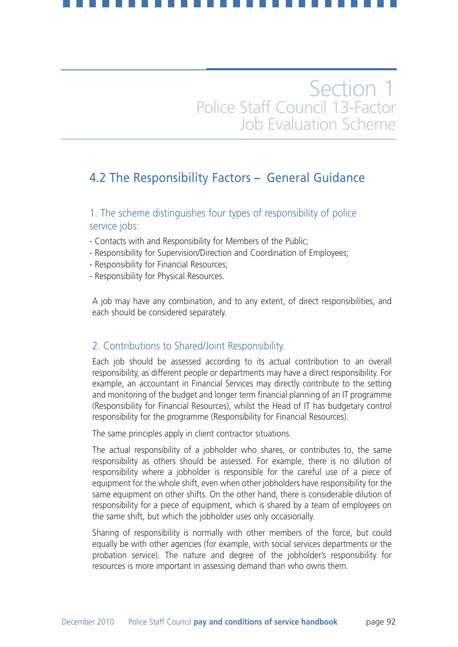## 4.2 The Responsibility Factors **–** General Guidance

1. The scheme distinguishes four types of responsibility of police service jobs:

- Contacts with and Responsibility for Members of the Public;
- Responsibility for Supervision/Direction and Coordination of Employees;
- Responsibility for Financial Resources;
- Responsibility for Physical Resources.

A job may have any combination, and to any extent, of direct responsibilities, and each should be considered separately.

### 2. Contributions to Shared/Joint Responsibility.

Each job should be assessed according to its actual contribution to an overall responsibility, as different people or departments may have a direct responsibility. For example, an accountant in Financial Services may directly contribute to the setting and monitoring of the budget and longer term financial planning of an IT programme (Responsibility for Financial Resources), whilst the Head of IT has budgetary control responsibility for the programme (Responsibility for Financial Resources).

The same principles apply in client contractor situations.

The actual responsibility of a jobholder who shares, or contributes to, the same responsibility as others should be assessed. For example, there is no dilution of responsibility where a jobholder is responsible for the careful use of a piece of equipment for the whole shift, even when other jobholders have responsibility for the same equipment on other shifts. On the other hand, there is considerable dilution of responsibility for a piece of equipment, which is shared by a team of employees on the same shift, but which the jobholder uses only occasionally.

Sharing of responsibility is normally with other members of the force, but could equally be with other agencies (for example, with social services departments or the probation service). The nature and degree of the jobholder's responsibility for resources is more important in assessing demand than who owns them.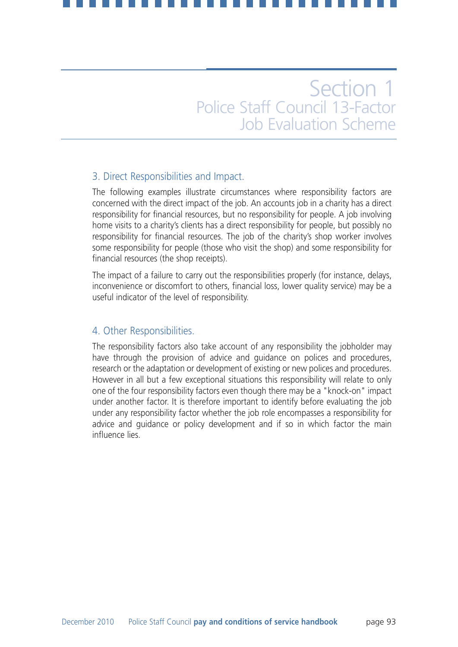## 3. Direct Responsibilities and Impact.

The following examples illustrate circumstances where responsibility factors are concerned with the direct impact of the job. An accounts job in a charity has a direct responsibility for financial resources, but no responsibility for people. A job involving home visits to a charity's clients has a direct responsibility for people, but possibly no responsibility for financial resources. The job of the charity's shop worker involves some responsibility for people (those who visit the shop) and some responsibility for financial resources (the shop receipts).

The impact of a failure to carry out the responsibilities properly (for instance, delays, inconvenience or discomfort to others, financial loss, lower quality service) may be a useful indicator of the level of responsibility.

### 4. Other Responsibilities.

The responsibility factors also take account of any responsibility the jobholder may have through the provision of advice and guidance on polices and procedures, research or the adaptation or development of existing or new polices and procedures. However in all but a few exceptional situations this responsibility will relate to only one of the four responsibility factors even though there may be a "knock-on" impact under another factor. It is therefore important to identify before evaluating the job under any responsibility factor whether the job role encompasses a responsibility for advice and guidance or policy development and if so in which factor the main influence lies.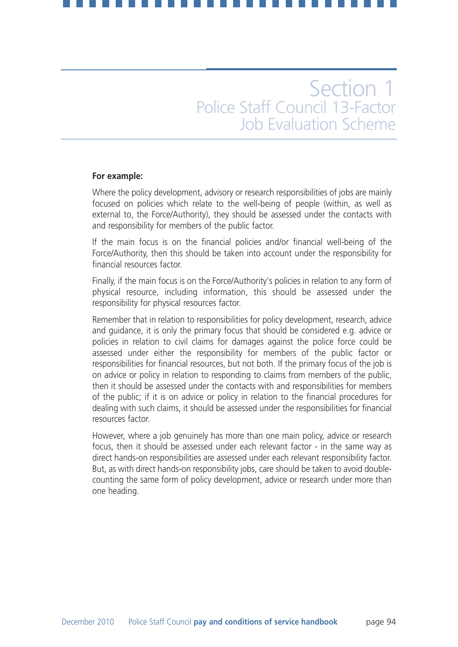### **For example:**

Where the policy development, advisory or research responsibilities of jobs are mainly focused on policies which relate to the well-being of people (within, as well as external to, the Force/Authority), they should be assessed under the contacts with and responsibility for members of the public factor.

If the main focus is on the financial policies and/or financial well-being of the Force/Authority, then this should be taken into account under the responsibility for financial resources factor.

Finally, if the main focus is on the Force/Authority's policies in relation to any form of physical resource, including information, this should be assessed under the responsibility for physical resources factor.

Remember that in relation to responsibilities for policy development, research, advice and guidance, it is only the primary focus that should be considered e.g. advice or policies in relation to civil claims for damages against the police force could be assessed under either the responsibility for members of the public factor or responsibilities for financial resources, but not both. If the primary focus of the job is on advice or policy in relation to responding to claims from members of the public, then it should be assessed under the contacts with and responsibilities for members of the public; if it is on advice or policy in relation to the financial procedures for dealing with such claims, it should be assessed under the responsibilities for financial resources factor.

However, where a job genuinely has more than one main policy, advice or research focus, then it should be assessed under each relevant factor - in the same way as direct hands-on responsibilities are assessed under each relevant responsibility factor. But, as with direct hands-on responsibility jobs, care should be taken to avoid doublecounting the same form of policy development, advice or research under more than one heading.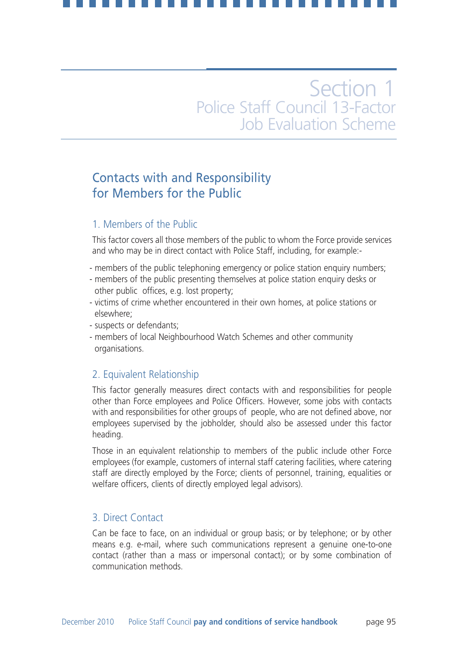## Contacts with and Responsibility for Members for the Public

## 1. Members of the Public

This factor covers all those members of the public to whom the Force provide services and who may be in direct contact with Police Staff, including, for example:-

- members of the public telephoning emergency or police station enquiry numbers;
- members of the public presenting themselves at police station enquiry desks or other public offices, e.g. lost property;
- victims of crime whether encountered in their own homes, at police stations or elsewhere;
- suspects or defendants;
- members of local Neighbourhood Watch Schemes and other community organisations.

## 2. Equivalent Relationship

This factor generally measures direct contacts with and responsibilities for people other than Force employees and Police Officers. However, some jobs with contacts with and responsibilities for other groups of people, who are not defined above, nor employees supervised by the jobholder, should also be assessed under this factor heading.

Those in an equivalent relationship to members of the public include other Force employees (for example, customers of internal staff catering facilities, where catering staff are directly employed by the Force; clients of personnel, training, equalities or welfare officers, clients of directly employed legal advisors).

### 3. Direct Contact

Can be face to face, on an individual or group basis; or by telephone; or by other means e.g. e-mail, where such communications represent a genuine one-to-one contact (rather than a mass or impersonal contact); or by some combination of communication methods.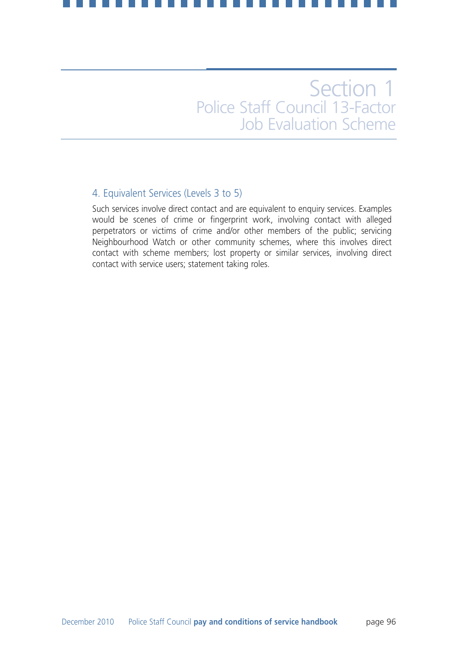## 4. Equivalent Services (Levels 3 to 5)

Such services involve direct contact and are equivalent to enquiry services. Examples would be scenes of crime or fingerprint work, involving contact with alleged perpetrators or victims of crime and/or other members of the public; servicing Neighbourhood Watch or other community schemes, where this involves direct contact with scheme members; lost property or similar services, involving direct contact with service users; statement taking roles.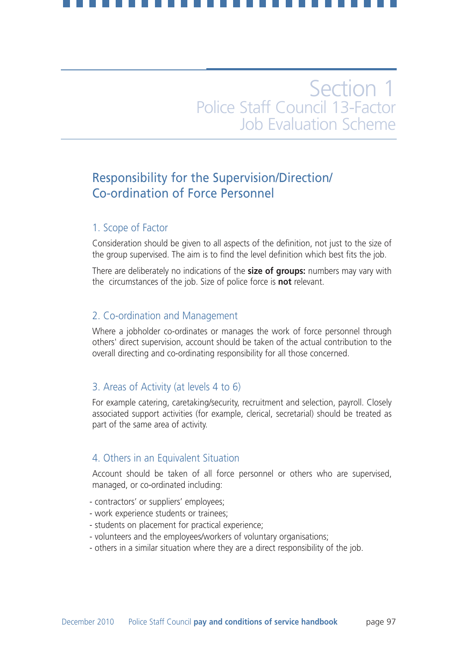## Responsibility for the Supervision/Direction/ Co-ordination of Force Personnel

## 1. Scope of Factor

Consideration should be given to all aspects of the definition, not just to the size of the group supervised. The aim is to find the level definition which best fits the job.

There are deliberately no indications of the **size of groups:** numbers may vary with the circumstances of the job. Size of police force is **not** relevant.

## 2. Co-ordination and Management

Where a jobholder co-ordinates or manages the work of force personnel through others' direct supervision, account should be taken of the actual contribution to the overall directing and co-ordinating responsibility for all those concerned.

## 3. Areas of Activity (at levels 4 to 6)

For example catering, caretaking/security, recruitment and selection, payroll. Closely associated support activities (for example, clerical, secretarial) should be treated as part of the same area of activity.

## 4. Others in an Equivalent Situation

Account should be taken of all force personnel or others who are supervised, managed, or co-ordinated including:

- contractors' or suppliers' employees;
- work experience students or trainees;
- students on placement for practical experience;
- volunteers and the employees/workers of voluntary organisations;
- others in a similar situation where they are a direct responsibility of the job.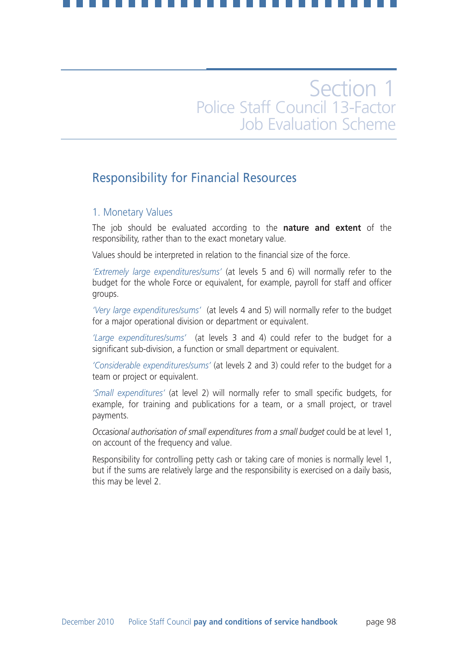## Responsibility for Financial Resources

### 1. Monetary Values

The job should be evaluated according to the **nature and extent** of the responsibility, rather than to the exact monetary value.

Values should be interpreted in relation to the financial size of the force.

*'Extremely large expenditures/sums'* (at levels 5 and 6) will normally refer to the budget for the whole Force or equivalent, for example, payroll for staff and officer groups.

*'Very large expenditures/sums'* (at levels 4 and 5) will normally refer to the budget for a major operational division or department or equivalent.

*'Large expenditures/sums'* (at levels 3 and 4) could refer to the budget for a significant sub-division, a function or small department or equivalent.

*'Considerable expenditures/sums'* (at levels 2 and 3) could refer to the budget for a team or project or equivalent.

*'Small expenditures'* (at level 2) will normally refer to small specific budgets, for example, for training and publications for a team, or a small project, or travel payments.

*Occasional authorisation of small expenditures from a small budget* could be at level 1, on account of the frequency and value.

Responsibility for controlling petty cash or taking care of monies is normally level 1, but if the sums are relatively large and the responsibility is exercised on a daily basis, this may be level 2.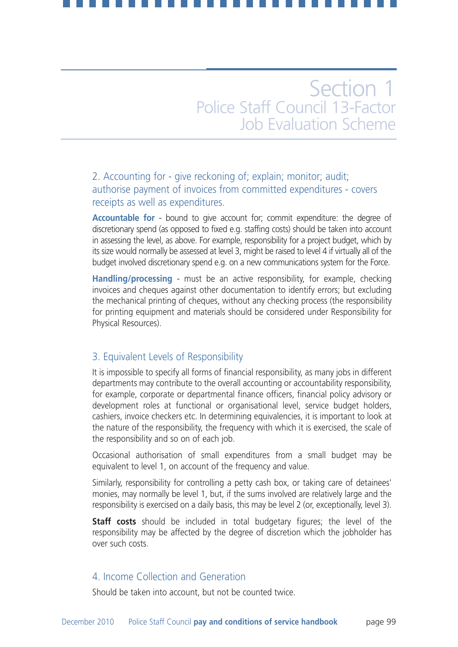## 2. Accounting for - give reckoning of; explain; monitor; audit; authorise payment of invoices from committed expenditures - covers receipts as well as expenditures.

**Accountable for** - bound to give account for; commit expenditure: the degree of discretionary spend (as opposed to fixed e.g. staffing costs) should be taken into account in assessing the level, as above. For example, responsibility for a project budget, which by its size would normally be assessed at level 3, might be raised to level 4 if virtually all of the budget involved discretionary spend e.g. on a new communications system for the Force.

**Handling/processing** - must be an active responsibility, for example, checking invoices and cheques against other documentation to identify errors; but excluding the mechanical printing of cheques, without any checking process (the responsibility for printing equipment and materials should be considered under Responsibility for Physical Resources).

### 3. Equivalent Levels of Responsibility

It is impossible to specify all forms of financial responsibility, as many jobs in different departments may contribute to the overall accounting or accountability responsibility, for example, corporate or departmental finance officers, financial policy advisory or development roles at functional or organisational level, service budget holders, cashiers, invoice checkers etc. In determining equivalencies, it is important to look at the nature of the responsibility, the frequency with which it is exercised, the scale of the responsibility and so on of each job.

Occasional authorisation of small expenditures from a small budget may be equivalent to level 1, on account of the frequency and value.

Similarly, responsibility for controlling a petty cash box, or taking care of detainees' monies, may normally be level 1, but, if the sums involved are relatively large and the responsibility is exercised on a daily basis, this may be level 2 (or, exceptionally, level 3).

**Staff costs** should be included in total budgetary figures; the level of the responsibility may be affected by the degree of discretion which the jobholder has over such costs.

## 4. Income Collection and Generation

Should be taken into account, but not be counted twice.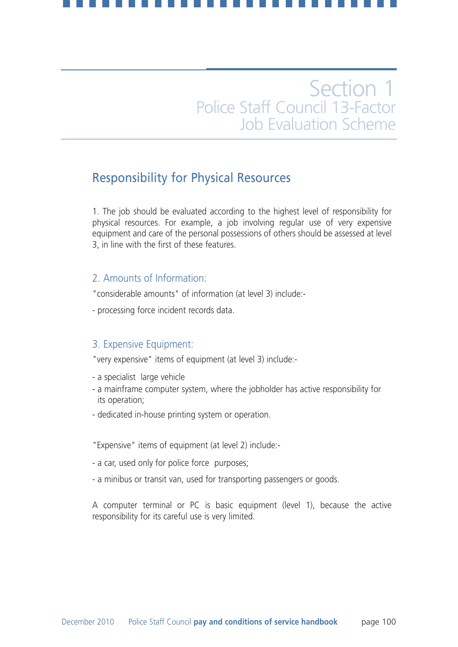## Responsibility for Physical Resources

1. The job should be evaluated according to the highest level of responsibility for physical resources. For example, a job involving regular use of very expensive equipment and care of the personal possessions of others should be assessed at level 3, in line with the first of these features.

## 2. Amounts of Information:

"considerable amounts" of information (at level 3) include:-

- processing force incident records data.

## 3. Expensive Equipment:

"very expensive" items of equipment (at level 3) include:-

- a specialist large vehicle
- a mainframe computer system, where the jobholder has active responsibility for its operation;
- dedicated in-house printing system or operation.
- "Expensive" items of equipment (at level 2) include:-
- a car, used only for police force purposes;
- a minibus or transit van, used for transporting passengers or goods.

A computer terminal or PC is basic equipment (level 1), because the active responsibility for its careful use is very limited.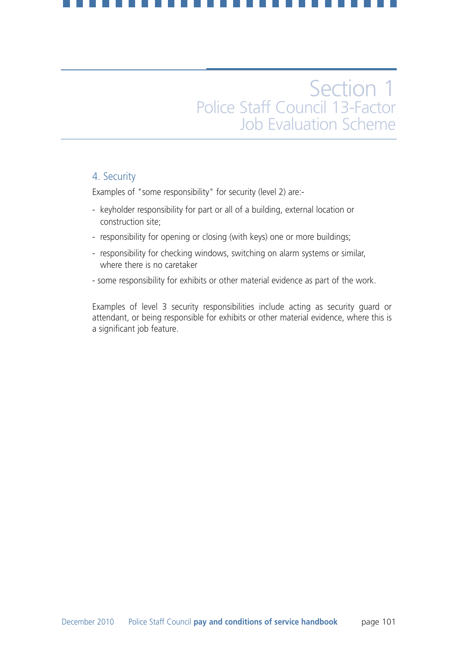### 4. Security

Examples of "some responsibility" for security (level 2) are:-

- keyholder responsibility for part or all of a building, external location or construction site;
- responsibility for opening or closing (with keys) one or more buildings;
- responsibility for checking windows, switching on alarm systems or similar, where there is no caretaker
- some responsibility for exhibits or other material evidence as part of the work.

Examples of level 3 security responsibilities include acting as security guard or attendant, or being responsible for exhibits or other material evidence, where this is a significant job feature.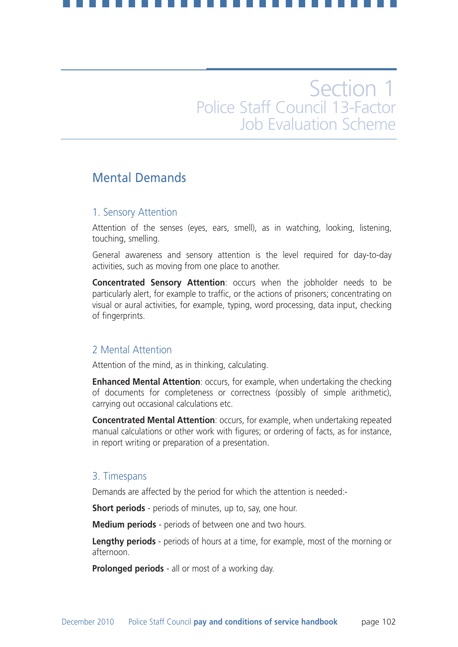## Mental Demands

### 1. Sensory Attention

Attention of the senses (eyes, ears, smell), as in watching, looking, listening, touching, smelling.

General awareness and sensory attention is the level required for day-to-day activities, such as moving from one place to another.

**Concentrated Sensory Attention**: occurs when the jobholder needs to be particularly alert, for example to traffic, or the actions of prisoners; concentrating on visual or aural activities, for example, typing, word processing, data input, checking of fingerprints.

### 2 Mental Attention

Attention of the mind, as in thinking, calculating.

**Enhanced Mental Attention**: occurs, for example, when undertaking the checking of documents for completeness or correctness (possibly of simple arithmetic), carrying out occasional calculations etc.

**Concentrated Mental Attention**: occurs, for example, when undertaking repeated manual calculations or other work with figures; or ordering of facts, as for instance, in report writing or preparation of a presentation.

## 3. Timespans

Demands are affected by the period for which the attention is needed:-

**Short periods** - periods of minutes, up to, say, one hour.

**Medium periods** - periods of between one and two hours.

**Lengthy periods** - periods of hours at a time, for example, most of the morning or afternoon.

**Prolonged periods** - all or most of a working day.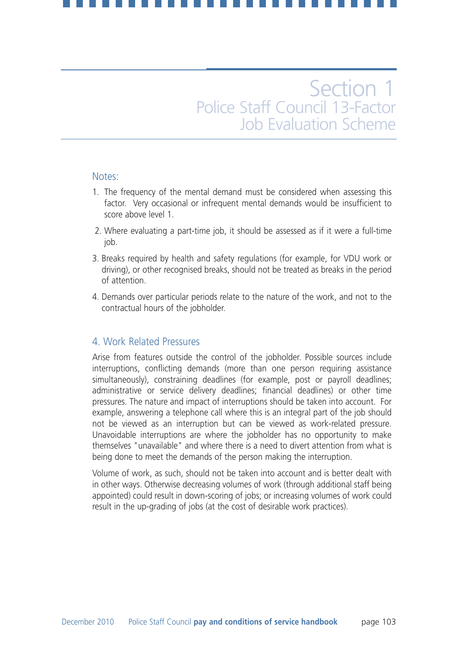### Notes:

- 1. The frequency of the mental demand must be considered when assessing this factor. Very occasional or infrequent mental demands would be insufficient to score above level 1.
- 2. Where evaluating a part-time job, it should be assessed as if it were a full-time job.
- 3. Breaks required by health and safety regulations (for example, for VDU work or driving), or other recognised breaks, should not be treated as breaks in the period of attention.
- 4. Demands over particular periods relate to the nature of the work, and not to the contractual hours of the jobholder.

### 4. Work Related Pressures

Arise from features outside the control of the jobholder. Possible sources include interruptions, conflicting demands (more than one person requiring assistance simultaneously), constraining deadlines (for example, post or payroll deadlines; administrative or service delivery deadlines; financial deadlines) or other time pressures. The nature and impact of interruptions should be taken into account. For example, answering a telephone call where this is an integral part of the job should not be viewed as an interruption but can be viewed as work-related pressure. Unavoidable interruptions are where the jobholder has no opportunity to make themselves "unavailable" and where there is a need to divert attention from what is being done to meet the demands of the person making the interruption.

Volume of work, as such, should not be taken into account and is better dealt with in other ways. Otherwise decreasing volumes of work (through additional staff being appointed) could result in down-scoring of jobs; or increasing volumes of work could result in the up-grading of jobs (at the cost of desirable work practices).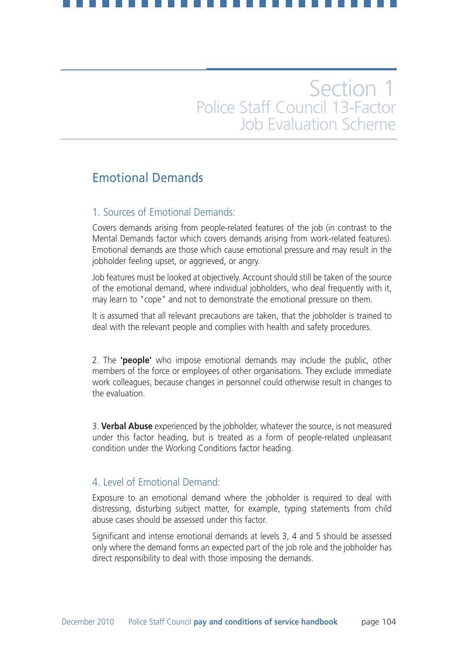## Emotional Demands

### 1. Sources of Emotional Demands:

Covers demands arising from people-related features of the job (in contrast to the Mental Demands factor which covers demands arising from work-related features). Emotional demands are those which cause emotional pressure and may result in the jobholder feeling upset, or aggrieved, or angry.

Job features must be looked at objectively. Account should still be taken of the source of the emotional demand, where individual jobholders, who deal frequently with it, may learn to "cope" and not to demonstrate the emotional pressure on them.

It is assumed that all relevant precautions are taken, that the jobholder is trained to deal with the relevant people and complies with health and safety procedures.

2. The **'people'** who impose emotional demands may include the public, other members of the force or employees of other organisations. They exclude immediate work colleagues, because changes in personnel could otherwise result in changes to the evaluation.

3. **Verbal Abuse** experienced by the jobholder, whatever the source, is not measured under this factor heading, but is treated as a form of people-related unpleasant condition under the Working Conditions factor heading.

### 4. Level of Emotional Demand:

Exposure to an emotional demand where the jobholder is required to deal with distressing, disturbing subject matter, for example, typing statements from child abuse cases should be assessed under this factor.

Significant and intense emotional demands at levels 3, 4 and 5 should be assessed only where the demand forms an expected part of the job role and the jobholder has direct responsibility to deal with those imposing the demands.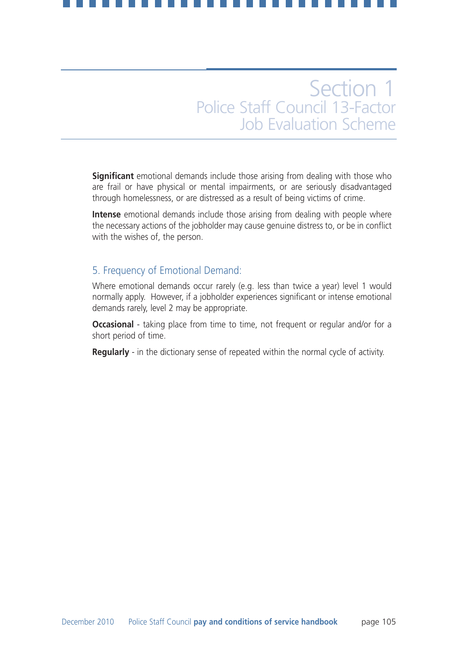**Significant** emotional demands include those arising from dealing with those who are frail or have physical or mental impairments, or are seriously disadvantaged through homelessness, or are distressed as a result of being victims of crime.

**Intense** emotional demands include those arising from dealing with people where the necessary actions of the jobholder may cause genuine distress to, or be in conflict with the wishes of, the person.

## 5. Frequency of Emotional Demand:

Where emotional demands occur rarely (e.g. less than twice a year) level 1 would normally apply. However, if a jobholder experiences significant or intense emotional demands rarely, level 2 may be appropriate.

**Occasional** - taking place from time to time, not frequent or regular and/or for a short period of time.

**Regularly** - in the dictionary sense of repeated within the normal cycle of activity.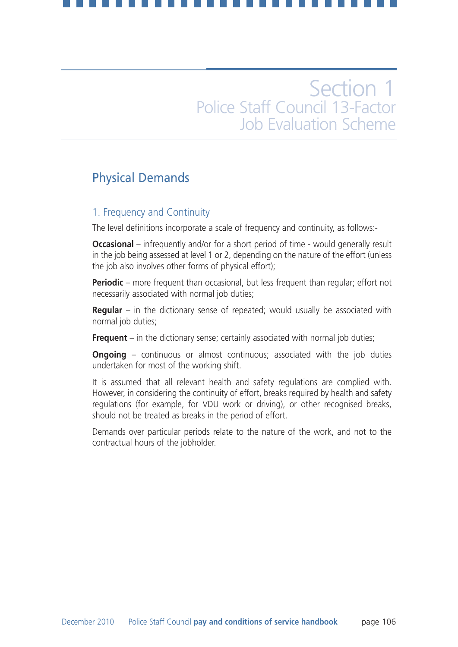## Physical Demands

### 1. Frequency and Continuity

The level definitions incorporate a scale of frequency and continuity, as follows:-

**Occasional** – infrequently and/or for a short period of time - would generally result in the job being assessed at level 1 or 2, depending on the nature of the effort (unless the job also involves other forms of physical effort);

**Periodic** – more frequent than occasional, but less frequent than regular; effort not necessarily associated with normal job duties;

**Regular** – in the dictionary sense of repeated; would usually be associated with normal job duties;

**Frequent** – in the dictionary sense; certainly associated with normal job duties;

**Ongoing** – continuous or almost continuous; associated with the job duties undertaken for most of the working shift.

It is assumed that all relevant health and safety regulations are complied with. However, in considering the continuity of effort, breaks required by health and safety regulations (for example, for VDU work or driving), or other recognised breaks, should not be treated as breaks in the period of effort.

Demands over particular periods relate to the nature of the work, and not to the contractual hours of the jobholder.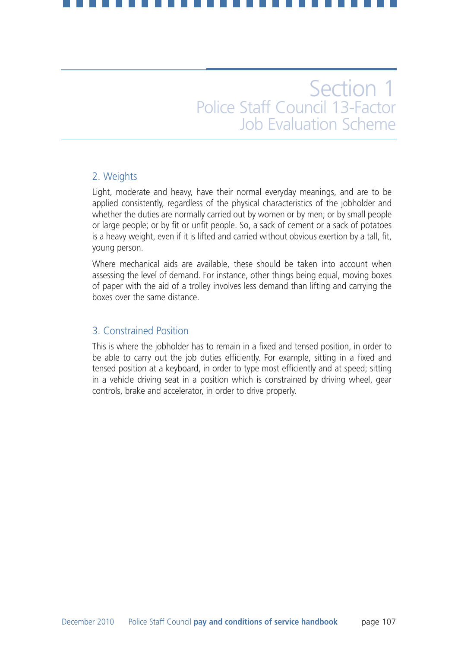## 2. Weights

Light, moderate and heavy, have their normal everyday meanings, and are to be applied consistently, regardless of the physical characteristics of the jobholder and whether the duties are normally carried out by women or by men; or by small people or large people; or by fit or unfit people. So, a sack of cement or a sack of potatoes is a heavy weight, even if it is lifted and carried without obvious exertion by a tall, fit, young person.

Where mechanical aids are available, these should be taken into account when assessing the level of demand. For instance, other things being equal, moving boxes of paper with the aid of a trolley involves less demand than lifting and carrying the boxes over the same distance.

## 3. Constrained Position

This is where the jobholder has to remain in a fixed and tensed position, in order to be able to carry out the job duties efficiently. For example, sitting in a fixed and tensed position at a keyboard, in order to type most efficiently and at speed; sitting in a vehicle driving seat in a position which is constrained by driving wheel, gear controls, brake and accelerator, in order to drive properly.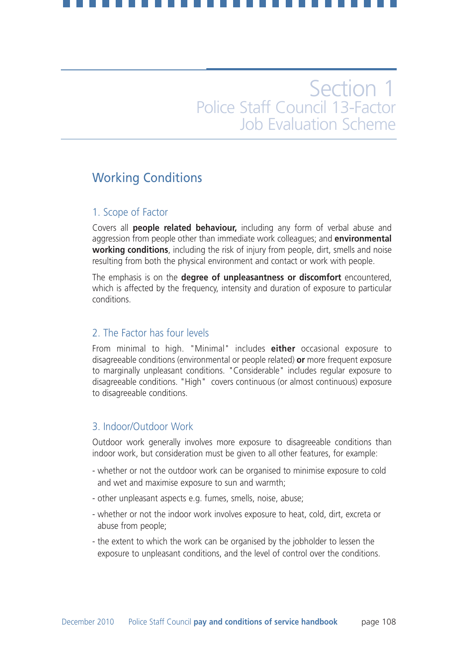## Working Conditions

### 1. Scope of Factor

Covers all **people related behaviour,** including any form of verbal abuse and aggression from people other than immediate work colleagues; and **environmental working conditions**, including the risk of injury from people, dirt, smells and noise resulting from both the physical environment and contact or work with people.

The emphasis is on the **degree of unpleasantness or discomfort** encountered, which is affected by the frequency, intensity and duration of exposure to particular conditions.

## 2. The Factor has four levels

From minimal to high. "Minimal" includes **either** occasional exposure to disagreeable conditions (environmental or people related) **or** more frequent exposure to marginally unpleasant conditions. "Considerable" includes regular exposure to disagreeable conditions. "High" covers continuous (or almost continuous) exposure to disagreeable conditions.

### 3. Indoor/Outdoor Work

Outdoor work generally involves more exposure to disagreeable conditions than indoor work, but consideration must be given to all other features, for example:

- whether or not the outdoor work can be organised to minimise exposure to cold and wet and maximise exposure to sun and warmth;
- other unpleasant aspects e.g. fumes, smells, noise, abuse;
- whether or not the indoor work involves exposure to heat, cold, dirt, excreta or abuse from people;
- the extent to which the work can be organised by the jobholder to lessen the exposure to unpleasant conditions, and the level of control over the conditions.